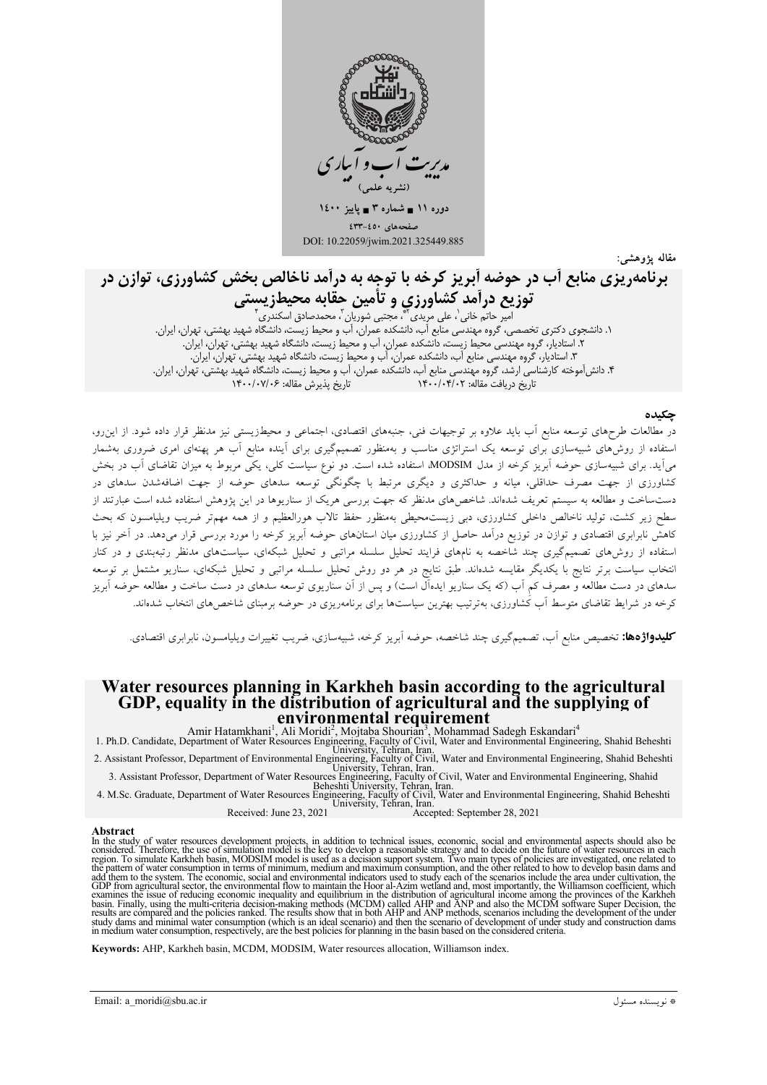

مقاله يژوهشي:

# برنامهریزی منابع آب در حوضه آبریز کرخه با توجه به درآمد ناخالص بخش کشاورزی، توازن در توزیع درآمد کشاورزی و تأمین حقابه محیطزیستی

امیر حاتم خانی ٰ، علی مریدی َ'\*، مجتبی شوریان ّ، محمدصادق اسکندری ٰ ١. دانشجوی دکتری تخصصی، گروه مهندسی منابع آب، دانشکده عمران، آب و محیط زیست، دانشگاه شهید بهشتی، تهران، ایران. ۲. استادیار، گروه مهندسی محیط زیست، دانشکده عمران، آب و محیط زیست، دانشگاه شهید بهشتی، تهران، ایران. ۳. استادیار، کَروه مهندسی منابع اَب، دانشکده عمران، اَب و محیط زیست، دانشگاه شهید بهشتی، تهران، ایران. ۴. دانش[موخته کارشناسی ارشد، گروه مهندسی منابع آب، دانشکده عمران، آب و محیط زیست، دانشگاه شهید بهشتی، تهران، ایران.<br>۴. دانش[موخته کارشناسی ارشد، گروه مهندسی منابع آب، دانشکده عمران، آب و محیط زیست، دانشگاه شهید بهشتی، تهر

#### چکیده

در مطالعات طرحهای توسعه منابع آب باید علاوه بر توجیهات فنی، جنبههای اقتصادی، اجتماعی و محیطزیستی نیز مدنظر قرار داده شود. از این رو، استفاده از روشهای شبیهسازی برای توسعه یک استراتژی مناسب و بهمنظور تصمیمگیری برای آینده منابع آب هر پهنهای امری ضروری بهشمار میآید. برای شبیهسازی حوضه اَبریز کرخه از مدل MODSIM استفاده شده است. دو نوع سیاست کلی، یکی مربوط به میزان تقاضای اَب در بخش کشاورزی از جهت مصرف حداقلی، میانه و حداکثری و دیگری مرتبط با چگونگی توسعه سدهای حوضه از جهت اضافهشدن سدهای در دستساخت و مطالعه به سیستم تعریف شدهاند. شاخصهای مدنظر که جهت بررسی هریک از سناریوها در این پژوهش استفاده شده است عبارتند از سطح زیر کشت، تولید ناخالص داخلی کشاورزی، دبی زیست.حیطی بهمنظور حفظ تالاب هورالعظیم و از همه مهمتر ضریب ویلیامسون که بحث کاهش نابرابری اقتصادی و توازن در توزیع درآمد حاصل از کشاورزی میان استانهای حوضه آبریز کرخه را مورد بررسی قرار میدهد. در آخر نیز با استفاده از روشهای تصمیمگیری چند شاخصه به نامهای فرایند تحلیل سلسله مراتبی و تحلیل شبکهای، سیاستهای مدنظر رتبهبندی و در کنار انتخاب سیاست برتر نتایج با یکدیگر مقایسه شدهاند. طبق نتایج در هر دو روش تحلیل سلسله مراتبی و تحلیل شبکهای، سناریو مشتمل بر توسعه سدهای در دست مطالعه و مصرف کم آب (که یک سناریو ایدهآل است) و پس از آن سناریوی توسعه سدهای در دست ساخت و مطالعه حوضه آبریز کرخه در شرایط تقاضای متوسط آب کشاورزی، بهتر تیب بهترین سیاستها برای برنامهریزی در حوضه برمبنای شاخص های انتخاب شدهاند.

**کلیدواژهها:** تخصیص منابع آب، تصمیمگیری چند شاخصه، حوضه آبریز کرخه، شبیهسازی، ضریب تغییرات ویلیامسون، نابرابری اقتصادی.

#### Water resources planning in Karkheh basin according to the agricultural GDP, equality in the distribution of agricultural and the supplying of environmental requirement

Amir Hatamkhani<sup>1</sup>, Ali Moridi<sup>2</sup>, Mojtaba Shourian<sup>3</sup>, Mohammad Sadegh Eskandari<sup>4</sup><br>1. Ph.D. Candidate, Department of Water Resources Engineering, Faculty of Civil, Water and Environmental Engineering, Shahid Beheshti 2. Assistant Professor, Department of Water Resources Engineering, Faculty of Civil, Water and Environmental Engineering, Shahid Beheshti<br>2. Assistant Professor, Department of Environmental Engineering, Faculty of Civil, W

Received: June 23, 2021 Accepted: September 28, 2021

**Abstract**<br>In the study of water resources development projects, in addition to technical issues, economic, social and environmental aspects should also be<br>considered. Therefore, the use of simulation model is the key to d OLY from agricultural sector, the environmental thow to maintain the Froor at-Azim well and, those ungers the intervention of agricultural income among the provinces of the Karkheh basin. Finally, using the multi-criteria

Keywords: AHP, Karkheh basin, MCDM, MODSIM, Water resources allocation, Williamson index.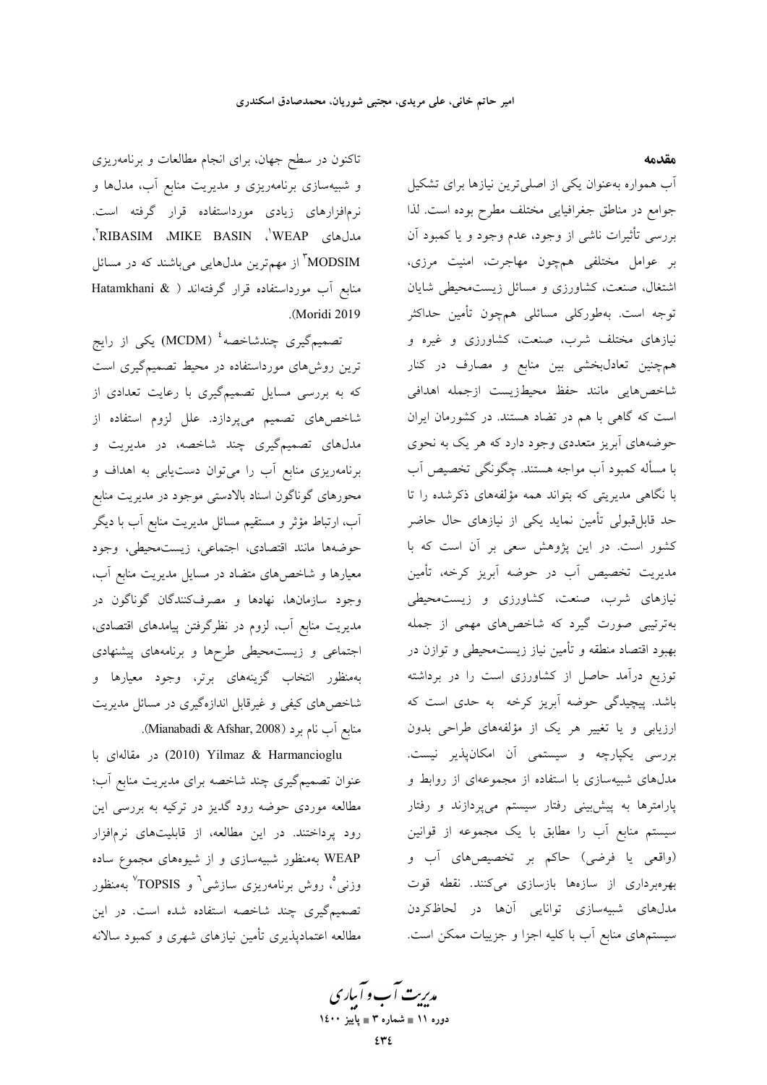مقدمه

آب همواره بهعنوان یکی از اصلی ترین نیازها برای تشکیل جوامع در مناطق جغرافیایی مختلف مطرح بوده است. لذا بررسی تأثیرات ناشی از وجود، عدم وجود و یا کمبود آن بر عوامل مختلفی همچون مهاجرت، امنیت مرزی، اشتغال، صنعت، کشاورزی و مسائل زیستمحیطی شایان توجه است. بهطورکلی مسائلی همچون تأمین حداکثر نیازهای مختلف شرب، صنعت، کشاورزی و غیره و همچنین تعادلبخشی بین منابع و مصارف در کنار شاخصهايي مانند حفظ محيطزيست ازجمله اهدافي است که گاهی با هم در تضاد هستند. در کشورمان ایران حوضههای آبریز متعددی وجود دارد که هر یک به نحوی با مسأله كمبود أب مواجه هستند. چگونگی تخصیص أب با نگاهی مدیریتی که بتواند همه مؤلفههای ذکرشده را تا حد قابلقبولی تأمین نماید یکی از نیازهای حال حاضر کشور است. در این پژوهش سعی بر آن است که با مديريت تخصيص أب در حوضه أبريز كرخه، تأمين نیازهای شرب، صنعت، کشاورزی و زیست،محیطی بهترتیبی صورت گیرد که شاخصهای مهمی از جمله بهبود اقتصاد منطقه و تأمين نياز زيستمحيطي و توازن در توزیع درآمد حاصل از کشاورزی است را در برداشته باشد. پیچیدگی حوضه آبریز کرخه به حدی است که ارزیابی و یا تغییر هر یک از مؤلفههای طراحی بدون بررسی یکپارچه و سیستمی آن امکانپذیر نیست. مدلهای شبیهسازی با استفاده از مجموعهای از روابط و پارامترها به پیش بینی رفتار سیستم میپردازند و رفتار سیستم منابع آب را مطابق با یک مجموعه از قوانین (واقعی یا فرضی) حاکم بر تخصیصهای آب و بهرهبرداری از سازهها بازسازی میکنند. نقطه قوت مدلهای شبیهسازی توانایی آنها در لحاظکردن سیستمهای منابع آب با کلیه اجزا و جزییات ممکن است.

تاکنون در سطح جهان، برای انجام مطالعات و برنامهریزی و شبیهسازی برنامهریزی و مدیریت منابع آب، مدلها و .<br>نرمافزارهای زیادی مورداستفاده قرار گرفته است. مدلهای RIBASIM ،MIKE BASIN ، WEAP ، MODSIM<sup>"</sup> از مهمترین مدلهایی میباشند که در مسائل منابع أب مورداستفاده قرار گرفتهاند ( & Hatamkhani .(Moridi 2019

تصمیمگیری چندشاخصه<sup>؛</sup> (MCDM) یکی از رایج ترین روشهای مورداستفاده در محیط تصمیمگیری است که به بررسی مسایل تصمیمگیری با رعایت تعدادی از شاخصهای تصمیم میپردازد. علل لزوم استفاده از مدلهای تصمیمگیری چند شاخصه، در مدیریت و برنامهریزی منابع آب را میتوان دست یابی به اهداف و محورهای گوناگون اسناد بالادستی موجود در مدیریت منابع آب، ارتباط مؤثر و مستقیم مسائل مدیریت منابع آب با دیگر حوضهها مانند اقتصادى، اجتماعي، زيستمحيطي، وجود معیارها و شاخصهای متضاد در مسایل مدیریت منابع آب، وجود سازمانها، نهادها و مصرفکنندگان گوناگون در مدیریت منابع آب، لزوم در نظرگرفتن پیامدهای اقتصادی، اجتماعی و زیست.حیطی طرحها و برنامههای پیشنهادی .<br>بهمنظور انتخاب گزینههای برتر، وجود معیارها و شاخصهای کیفی و غیرقابل اندازهگیری در مسائل مدیریت منابع آب نام برد (Mianabadi & Afshar, 2008).

ور مقالهای با (2010) Yilmaz & Harmancioglu عنوان تصمیمگیری چند شاخصه برای مدیریت منابع آب؛ مطالعه موردی حوضه رود گدیز در ترکیه به بررسی این رود پرداختند. در این مطالعه، از قابلیتهای نرمافزار WEAP بهمنظور شبیهسازی و از شیوههای مجموع ساده وزنی ْ، روش برنامەریزی سازشی<sup>י</sup> و TOPSIS<sup>″</sup> بەمنظور .<br>تصمیمگیری چند شاخصه استفاده شده است. در این مطالعه اعتمادیذیری تأمین نیازهای شهری و کمبود سالانه

مدریت آب و آباری دوره ۱۱ ∎ شماره ۳ ∎ یاییز ۱٤۰۰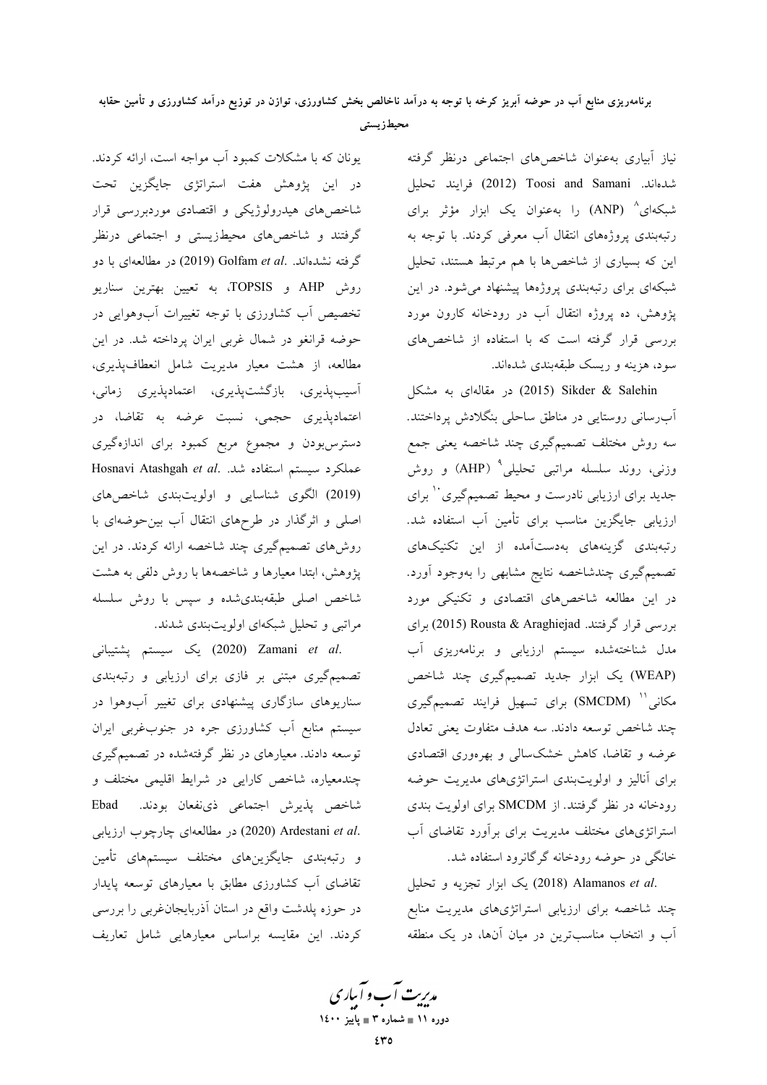محيطزيستي

نیاز آبیاری بهعنوان شاخصهای اجتماعی درنظر گرفته شدهاند. Toosi and Samani (2012) فرايند تحليل شبکهای<sup>۸</sup> (ANP) را بهعنوان یک ابزار مؤثر برای رتبهبندی پروژههای انتقال آب معرفی کردند. با توجه به این که بسیاری از شاخصها با هم مرتبط هستند، تحلیل شبکهای برای رتبهبندی پروژهها پیشنهاد می شود. در این پژوهش، ده پروژه انتقال آب در رودخانه کارون مورد بررسی قرار گرفته است که با استفاده از شاخصهای سود، هزینه و ریسک طبقهبندی شدهاند.

در مقالهای به مشکل (2015) (2015) در مقالهای به مشکل آبِرسانی روستایی در مناطق ساحلی بنگلادش پرداختند. سه روش مختلف تصمیمگیری چند شاخصه یعنی جمع وزنی، روند سلسله مراتبی تحلیلی<sup>۹</sup> (AHP) و روش جدید برای ارزیابی نادرست و محیط تصمیمگیری `` برای ارزیابی جایگزین مناسب برای تأمین آب استفاده شد. رتبهبندی گزینههای بهدستآمده از این تکنیکهای تصمیمگیری چندشاخصه نتایج مشابهی را بهوجود آورد. در این مطالعه شاخصهای اقتصادی و تکنیکی مورد بررسی قرار گرفتند. Rousta & Araghiejad (2015) برای مدل شناختهشده سیستم ارزیابی و برنامهریزی آب (WEAP) یک ابزار جدید تصمیمگیری چند شاخص مکانی'' (SMCDM) برای تسهیل فرایند تصمیمگیری چند شاخص توسعه دادند. سه هدف متفاوت يعني تعادل عرضه و تقاضا، کاهش خشکسالی و بهرهوری اقتصادی برای آنالیز و اولویتبندی استراتژیهای مدیریت حوضه رودخانه در نظر گرفتند. از SMCDM برای اولویت بندی استراتژیهای مختلف مدیریت برای برآورد تقاضای آب خانگی در حوضه رودخانه گرگانرود استفاده شد.

.2018) Alamanos et al (2018) یک ابزار تجزیه و تحلیل چند شاخصه برای ارزیابی استراتژیهای مدیریت منابع آب و انتخاب مناسبترین در میان آنها، در یک منطقه

یونان که با مشکلات کمبود آب مواجه است، ارائه کردند. در این پژوهش هفت استراتژی جایگزین تحت شاخصهای هیدرولوژیکی و اقتصادی موردبررسی قرار گرفتند و شاخصهای محیطزیستی و اجتماعی درنظر گرفته نشدهاند. .Golfam et al (2019) در مطالعهای با دو روش AHP و TOPSIS، به تعیین بهترین سناریو تخصیص آب کشاورزی با توجه تغییرات آبوهوایی در حوضه قرانغو در شمال غربی ایران پرداخته شد. در این مطالعه، از هشت معیار مدیریت شامل انعطافپذیری، آسیبپذیری، بازگشتپذیری، اعتمادپذیری زمانی، اعتمادپذیری حجمی، نسبت عرضه به تقاضا، در دسترس بودن و مجموع مربع کمبود برای اندازهگیری Hosnavi Atashgah et al. سيستم استفاده شد. (2019) الگوی شناسایی و اولویتبندی شاخصهای اصلی و اثرگذار در طرحهای انتقال آب بین حوضهای با روشهای تصمیمگیری چند شاخصه ارائه کردند. در این پژوهش، ابتدا معیارها و شاخصهها با روش دلفی به هشت شاخص اصلی طبقهبندی شده و سیس با روش سلسله مراتبی و تحلیل شبکهای اولویتبندی شدند.

.Zamani et al (2020) يك سيستم پشتيبانى تصمیمگیری مبتنی بر فازی برای ارزیابی و رتبهبندی سناریوهای سازگاری پیشنهادی برای تغییر آبوهوا در سیستم منابع آب کشاورزی جره در جنوبغربی ایران توسعه دادند. معیارهای در نظر گرفتهشده در تصمیمگیری چندمعیاره، شاخص کارایی در شرایط اقلیمی مختلف و شاخص پذیرش اجتماعی ذینفعان بودند. Ebad .(2020) Ardestani et al (2020) در مطالعهای چارچوب ارزیابی و رتبهبندی جایگزینهای مختلف سیستمهای تأمین تقاضای آب کشاورزی مطابق با معیارهای توسعه پایدار در حوزه پلدشت واقع در استان آذربایجان غربی را بررسی کردند. این مقایسه براساس معیارهایی شامل تعاریف

مدریت آب و آباری دوره ۱۱ ∎ شماره ۳ ∎ یاییز ۱٤۰۰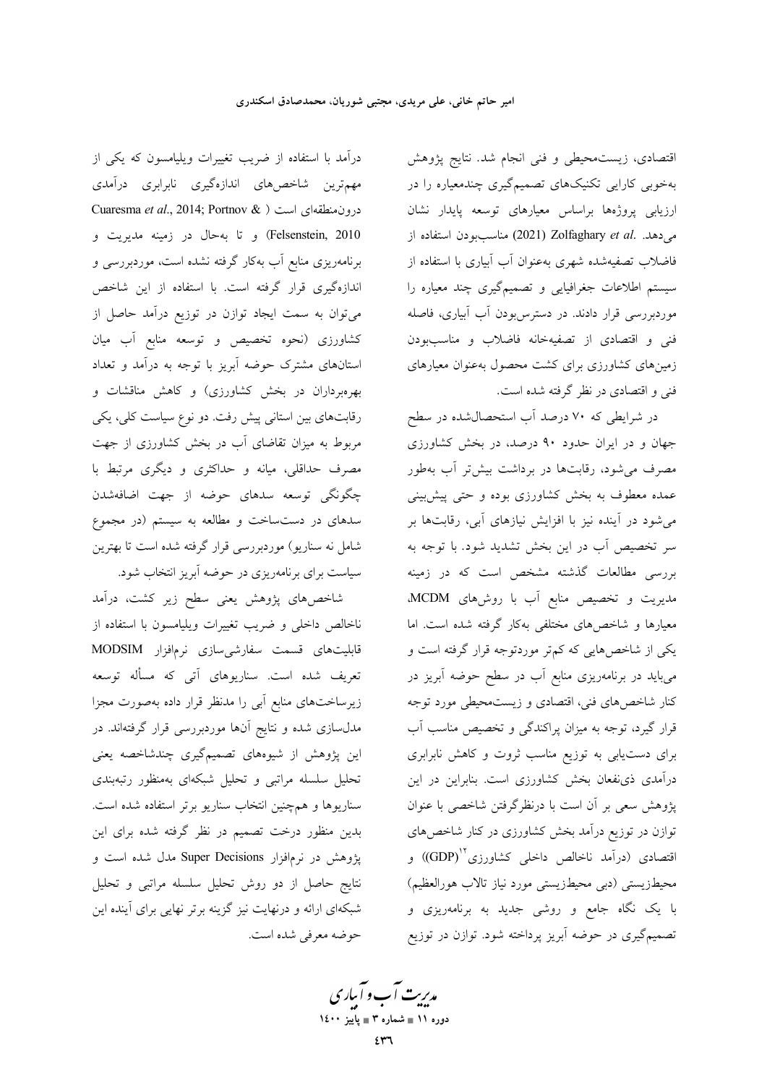اقتصادی، زیست.حیطی و فنی انجام شد. نتایج پژوهش بهخوبی کارایی تکنیکهای تصمیمگیری چندمعیاره را در ارزیابی پروژهها براساس معیارهای توسعه پایدار نشان مناسببودن استفاده از (2021) Zolfaghary et al. مناسب فاضلاب تصفیهشده شهری بهعنوان آب آبیاری با استفاده از سیستم اطلاعات جغرافیایی و تصمیمگیری چند معیاره را موردبررسی قرار دادند. در دسترس بودن آب آبیاری، فاصله فني و اقتصادي از تصفيهخانه فاضلاب و مناسببودن زمینهای کشاورزی برای کشت محصول بهعنوان معیارهای فني و اقتصادي در نظر گرفته شده است.

در شرایطی که ۷۰ درصد آب استحصالشده در سطح جهان و در ایران حدود ۹۰ درصد، در بخش کشاورزی مصرف می شود، رقابتها در برداشت بیش تر آب بهطور عمده معطوف به بخش کشاورزی بوده و حتی پیشبینی می شود در آینده نیز با افزایش نیازهای آبی، رقابتها بر سر تخصیص آب در این بخش تشدید شود. با توجه به بررسی مطالعات گذشته مشخص است که در زمینه مدیریت و تخصیص منابع آب با روشهای MCDM. معیارها و شاخصهای مختلفی بهکار گرفته شده است. اما یکی از شاخصهایی که کمتر موردتوجه قرار گرفته است و میباید در برنامهریزی منابع آب در سطح حوضه آبریز در کنار شاخصهای فنی، اقتصادی و زیستمحیطی مورد توجه قرار گیرد، توجه به میزان پراکندگی و تخصیص مناسب آب برای دست یابی به توزیع مناسب ثروت و کاهش نابرابری درآمدی ذی نفعان بخش کشاورزی است. بنابراین در این پژوهش سعی بر آن است با درنظرگرفتن شاخصی با عنوان توازن در توزیع درآمد بخش کشاورزی در کنار شاخصهای اقتصادی (درآمد ناخالص داخلی کشاورزی<sup>٬٬</sup>(GDP)) و محیطزیستی (دبی محیطزیستی مورد نیاز تالاب هورالعظیم) با یک نگاه جامع و روشی جدید به برنامهریزی و تصمیمگیری در حوضه آبریز پرداخته شود. توازن در توزیع

درآمد با استفاده از ضریب تغییرات ویلیامسون که یکی از مهم ترین شاخصهای اندازهگیری نابرابری درآمدی Cuaresma et al., 2014; Portnov & ) درونمنطقهای است Felsenstein, 2010) و تا به حال در زمینه مدیریت و برنامهریزی منابع آب بهکار گرفته نشده است، موردبررسی و اندازهگیری قرار گرفته است. با استفاده از این شاخص میتوان به سمت ایجاد توازن در توزیع درآمد حاصل از کشاورزی (نحوه تخصیص و توسعه منابع آب میان استانهای مشترک حوضه آبریز با توجه به درآمد و تعداد بهرهبرداران در بخش کشاورزی) و کاهش مناقشات و رقابتهای بین استانی پیش رفت. دو نوع سیاست کلی، یکی مربوط به میزان تقاضای آب در بخش کشاورزی از جهت مصرف حداقلی، میانه و حداکثری و دیگری مرتبط با چگونگی توسعه سدهای حوضه از جهت اضافهشدن سدهای در دستساخت و مطالعه به سیستم (در مجموع شامل نه سناریو) موردبررسی قرار گرفته شده است تا بهترین سیاست برای برنامهریزی در حوضه آبریز انتخاب شود.

شاخصهای پژوهش یعنی سطح زیر کشت، درآمد ناخالص داخلی و ضریب تغییرات ویلیامسون با استفاده از قابلیتهای قسمت سفارشیسازی نرمافزار MODSIM تعریف شده است. سناریوهای آتی که مسأله توسعه زیرساختهای منابع آبی را مدنظر قرار داده بهصورت مجزا مدلسازی شده و نتایج آنها موردبررسی قرار گرفتهاند. در این پژوهش از شیوههای تصمیمگیری چندشاخصه یعنی تحلیل سلسله مراتبی و تحلیل شبکهای بهمنظور رتبهبندی سناریوها و همچنین انتخاب سناریو برتر استفاده شده است. بدین منظور درخت تصمیم در نظر گرفته شده برای این پژوهش در نرمافزار Super Decisions مدل شده است و نتايج حاصل از دو روش تحليل سلسله مراتبي و تحليل شبکهای ارائه و درنهایت نیز گزینه برتر نهایی برای آینده این حوضه معرفي شده است.

مدیریت آب و آباری ۔<br>دورہ ۱۱ ∎ شمارہ ۳ ∎ پاییز ۱٤۰۰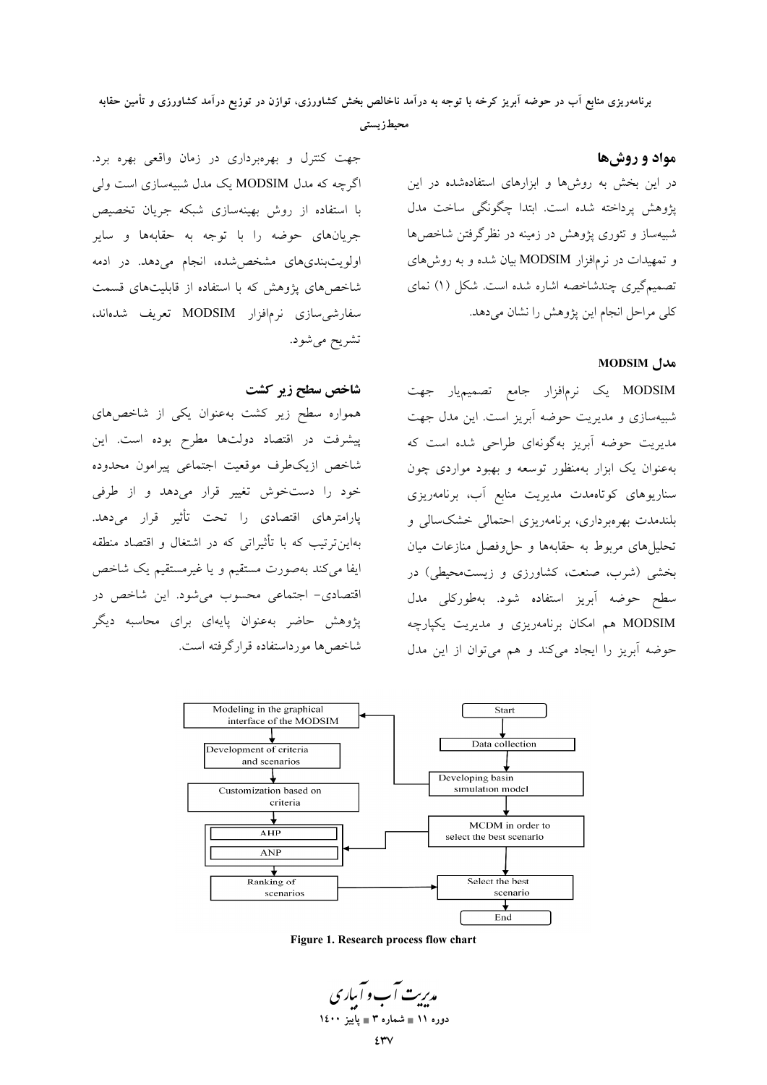برنامهریزی منابع آب در حوضه آبریز کرخه با توجه به درآمد ناخالص بخش کشاورزی، توازن در توزیع درآمد کشاورزی و تأمین حقابه

محيطز يستى

# جهت کنترل و بهرهبرداری در زمان واقعی بهره برد. اگرچه که مدل MODSIM یک مدل شبیهسازی است ولی با استفاده از روش بهینهسازی شبکه جریان تخصیص جریانهای حوضه را با توجه به حقابهها و سایر اولویتبندی های مشخص شده، انجام می دهد. در ادمه شاخصهای پژوهش که با استفاده از قابلیتهای قسمت سفارشی سازی نرمافزار MODSIM تعریف شدهاند، تشريح مي شود.

شاخص سطح زير كشت

همواره سطح زیر کشت بهعنوان یکی از شاخصهای پیشرفت در اقتصاد دولتها مطرح بوده است. این شاخص ازيكطرف موقعيت اجتماعي پيرامون محدوده خود را دستخوش تغییر قرار میدهد و از طرفی پارامترهای اقتصادی را تحت تأثیر قرار میدهد. بهاین ترتیب که با تأثیراتی که در اشتغال و اقتصاد منطقه ايفا مى كند بهصورت مستقيم و يا غيرمستقيم يک شاخص اقتصادی- اجتماعی محسوب میشود. این شاخص در یژوهش حاضر بهعنوان پایهای برای محاسبه دیگر شاخص ها مورداستفاده قرارگرفته است.

در این بخش به روشها و ابزارهای استفادهشده در این پژوهش پرداخته شده است. ابتدا چگونگی ساخت مدل شبیهساز و تئوری پژوهش در زمینه در نظرگرفتن شاخصها و تمهیدات در نرمافزار MODSIM بیان شده و به روشهای تصمیمگیری چندشاخصه اشاره شده است. شکل (۱) نمای كلي مراحل انجام اين پژوهش را نشان مى دهد.

## MODSIM مدل

مواد و روشها

MODSIM یک نرمافزار جامع تصمیمیار جهت شبیهسازی و مدیریت حوضه آبریز است. این مدل جهت مدیریت حوضه آبریز بهگونهای طراحی شده است که بهعنوان یک ابزار بهمنظور توسعه و بهبود مواردی چون سناریوهای کوتاهمدت مدیریت منابع آب، برنامهریزی بلندمدت بهرهبرداری، برنامهریزی احتمالی خشکسالی و تحلیل های مربوط به حقابهها و حل وفصل منازعات میان بخشی (شرب، صنعت، کشاورزی و زیستمحیطی) در سطح حوضه آبريز استفاده شود. بهطوركلي مدل MODSIM هم امکان برنامهریزی و مدیریت یکپارچه حوضه آبریز را ایجاد میکند و هم می توان از این مدل



Figure 1. Research process flow chart

مدریت آب و آباری دوره ١١ ∎ شماره ٣ ∎ ياييز ١٤٠٠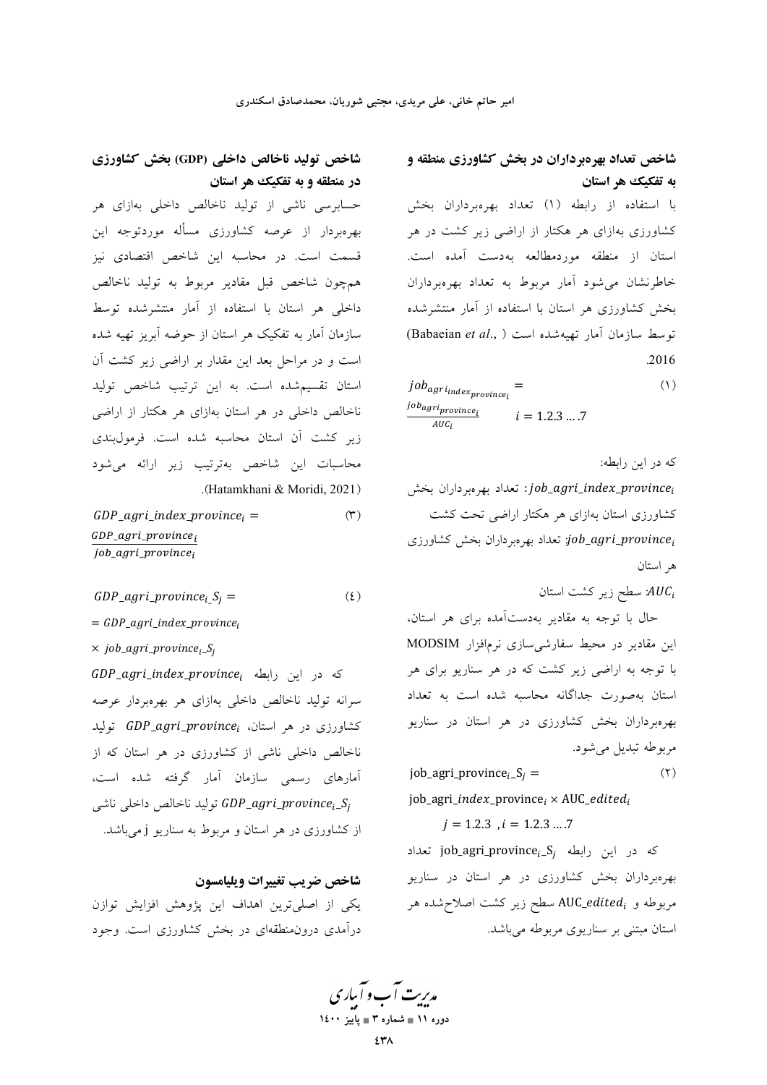# شاخص تعداد بهرهبرداران در بخش کشاورزی منطقه و به تفکیک هر استان

با استفاده از رابطه (١) تعداد بهرهبرداران بخش کشاورزی بهازای هر هکتار از اراضی زیر کشت در هر استان از منطقه موردمطالعه بهدست آمده است. خاطرنشان می شود آمار مربوط به تعداد بهرهبرداران بخش کشاورزی هر استان با استفاده از آمار منتشرشده توسط سازمان آمار تهيهشده است ( ,Babaeian et al) .2016

 $job_{agr i_{index_{provide}}$  $(1)$ job<sub>agriprovincei</sub>  $i = 1.2.3 ... .7$  $AUC_i$ 

که در این رابطه:

job\_agri\_index\_province; تعداد بهروبر داران بخش کشاورزی استان بهازای هر هکتار اراضی تحت کشت job\_agri\_province; تعداد بهرهبر داران بخش كشاورزي ه استان

. سطح زیر کشت استان:

حال با توجه به مقادیر بهدستآمده برای هر استان، این مقادیر در محیط سفارشی سازی نرمافزار MODSIM با توجه به اراضی زیر کشت که در هر سناریو برای هر استان بهصورت جداگانه محاسبه شده است به تعداد بهرهبرداران بخش کشاورزی در هر استان در سناریو مربوطه تبديل مي شود.

job\_agri\_province<sub>i</sub>\_S<sub>i</sub> =  $(1)$ 

job\_agri\_index\_province;  $\times$  AUC\_edited;

 $i = 1.2.3$ ,  $i = 1.2.3$ ....7

**iob\_agri\_province**<sub>i-</sub>S<sub>i</sub> در این رابطه  $\mathbf{p}$ iob\_agri\_province<sub>i-</sub>S<sub>i</sub> بهرهبرداران بخش کشاورزی در هر استان در سناریو مربوطه و AUC\_edited<sub>i</sub> سطح زیر کشت اصلاح شده هر استان مبتنی بر سناریوی مربوطه می باشد.

# شاخص تولید ناخالص داخلی (GDP) بخش کشاورزی در منطقه و به تفکیک هر استان

حسابرسی ناشی از تولید ناخالص داخلی بهازای هر بهرهبردار از عرصه كشاورزى مسأله موردتوجه اين قسمت است. در محاسبه این شاخص اقتصادی نیز همچون شاخص قبل مقادير مربوط به توليد ناخالص داخلی هر استان با استفاده از آمار منتشرشده توسط سازمان آمار به تفکیک هر استان از حوضه آبریز تهیه شده است و در مراحل بعد این مقدار بر اراضی زیر کشت آن استان تقسیم شده است. به این ترتیب شاخص تولید ناخالص داخلی در هر استان بهازای هر هکتار از اراضی زير كشت أن استان محاسبه شده است. فرمولبندي محاسبات این شاخص بهترتیب زیر ارائه میشود (Hatamkhani & Moridi, 2021).

 $(1)$  $GDP\_agri\_index\_province_i =$  $GDP\_agri\_province_i$ job\_agri\_province<sub>i</sub>

GDP\_agri\_province;  $S_i$  =  $(5)$ 

 $= GDP_{agri\_index\_province_i}$ 

 $\times$  job\_agri\_province<sub>i\_</sub>S<sub>j</sub>

كه در اين رابطه GDP\_agri\_index\_province; سرانه تولید ناخالص داخلی بهازای هر بهرهبردار عرصه کشاورزی در هر استان، GDP\_agri\_province ناخالص داخلی ناشی از کشاورزی در هر استان که از آمارهای رسمی سازمان آمار گرفته شده است، توليد ناخالص داخلي ناشي GDP\_agri\_province<sub>i</sub>\_S<sub>i</sub> از کشاورزی در هر استان و مربوط به سناریو j میباشد.

شاخص ضريب تغييرات ويليامسون یکی از اصلیترین اهداف این پژوهش افزایش توازن درآمدی درون منطقهای در بخش کشاورزی است. وجود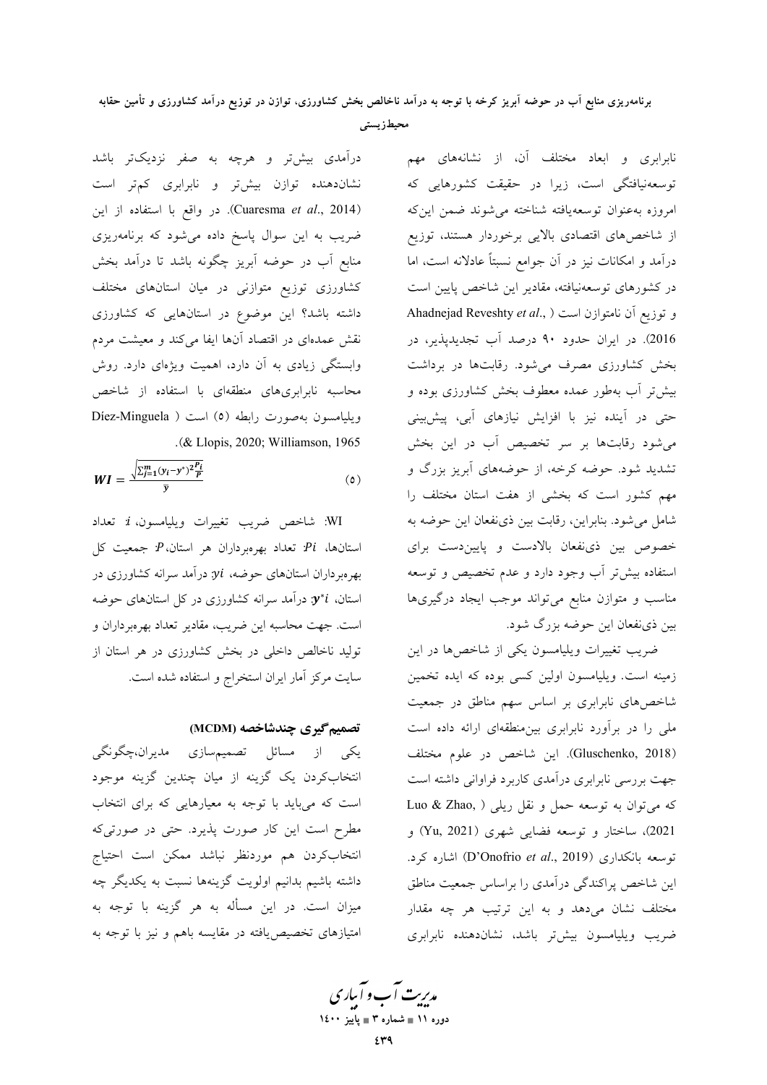محيطزيستي

درآمدی بیشتر و هرچه به صفر نزدیکتر باشد نشاندهنده توازن بیشتر و نابرابری کمتر است (Cuaresma *et al.*, 2014). در واقع با استفاده از این ضریب به این سوال پاسخ داده میشود که برنامهریزی منابع آب در حوضه آبریز چگونه باشد تا درآمد بخش کشاورزی توزیع متوازنی در میان استانهای مختلف داشته باشد؟ این موضوع در استانهایی که کشاورزی نقش عمدهای در اقتصاد آنها ایفا میکند و معیشت مردم وابستگی زیادی به آن دارد، اهمیت ویژهای دارد. روش محاسبه نابرابریهای منطقهای با استفاده از شاخص ويليامسون بهصورت رابطه (٥) است ( Díez-Minguela .(& Llopis, 2020; Williamson, 1965  $WI = \frac{\sqrt{\sum_{j=1}^{m} (y_i - y^*)^2 \frac{P_i}{P}}}{T}$  $(0)$ 

WI: شاخص ضريب تغييرات ويليامسون، i: تعداد استانها، Pi. تعداد بهرهبرداران هر استان، P: جمعیت کل بهرهبرداران استانهای حوضه، yi: درآمد سرانه کشاورزی در استان،  $\bm{y}^*i$ : درآمد سرانه کشاورزی در کل استانهای حوضه است. جهت محاسبه این ضریب، مقادیر تعداد بهرهبرداران و تولید ناخالص داخلی در بخش کشاورزی در هر استان از سایت مرکز آمار ایران استخراج و استفاده شده است.

### تصمیم گیری چندشاخصه (MCDM)

یکی از مسائل تصمیمسازی مدیران،چگونگی انتخابکردن یک گزینه از میان چندین گزینه موجود است که میباید با توجه به معیارهایی که برای انتخاب مطرح است این کار صورت پذیرد. حتی در صورتیکه انتخابکردن هم موردنظر نباشد ممکن است احتیاج داشته باشیم بدانیم اولویت گزینهها نسبت به یکدیگر چه میزان است. در این مسأله به هر گزینه با توجه به امتیازهای تخصیصیافته در مقایسه باهم و نیز با توجه به

نابرابری و ابعاد مختلف آن، از نشانههای مهم توسعهنیافتگی است، زیرا در حقیقت کشورهایی که امروزه بهعنوان توسعهيافته شناخته مىشوند ضمن اين۵ه از شاخصهای اقتصادی بالایی برخوردار هستند، توزیع درآمد و امکانات نیز در آن جوامع نسبتاً عادلانه است، اما در کشورهای توسعهنیافته، مقادیر این شاخص پایین است Ahadnejad Reveshty et al., ) ان نامتوازن است ( .Ahadnejad Reveshty et al 2016). در ایران حدود ۹۰ درصد آب تجدیدپذیر، در بخش کشاورزی مصرف میشود. رقابتها در برداشت بیش تر آب بهطور عمده معطوف بخش کشاورزی بوده و حتی در آینده نیز با افزایش نیازهای آبی، پیشبینی می شود رقابتها بر سر تخصیص آب در این بخش تشدید شود. حوضه کرخه، از حوضههای آبریز بزرگ و مهم کشور است که بخشی از هفت استان مختلف را شامل می شود. بنابراین، رقابت بین ذی نفعان این حوضه به خصوص بین ذی نفعان بالادست و پاییندست برای استفاده بیش تر آب وجود دارد و عدم تخصیص و توسعه مناسب و متوازن منابع میتواند موجب ایجاد درگیریها بین ذیٰنفعان این حوضه بزرگ شود.

ضریب تغییرات ویلیامسون یکی از شاخصها در این زمینه است. ویلیامسون اولین کسی بوده که ایده تخمین شاخصهای نابرابری بر اساس سهم مناطق در جمعیت ملی را در برآورد نابرابری بین منطقهای ارائه داده است (Gluschenko, 2018). این شاخص در علوم مختلف جهت بررسی نابرابری درآمدی کاربرد فراوانی داشته است که میتوان به توسعه حمل و نقل ریلی ( Luo & Zhao, 2021)، ساختار و توسعه فضایی شهری (Yu, 2021) و توسعه بانکداری (D'Onofrio et al., 2019) اشاره کرد. این شاخص پراکندگی درآمدی را براساس جمعیت مناطق مختلف نشان میدهد و به این ترتیب هر چه مقدار ضریب ویلیامسون بیشتر باشد، نشاندهنده نابرابری

مدریت آب و آباری دوره ۱۱ ∎ شماره ۳ ∎ یاییز ۱٤۰۰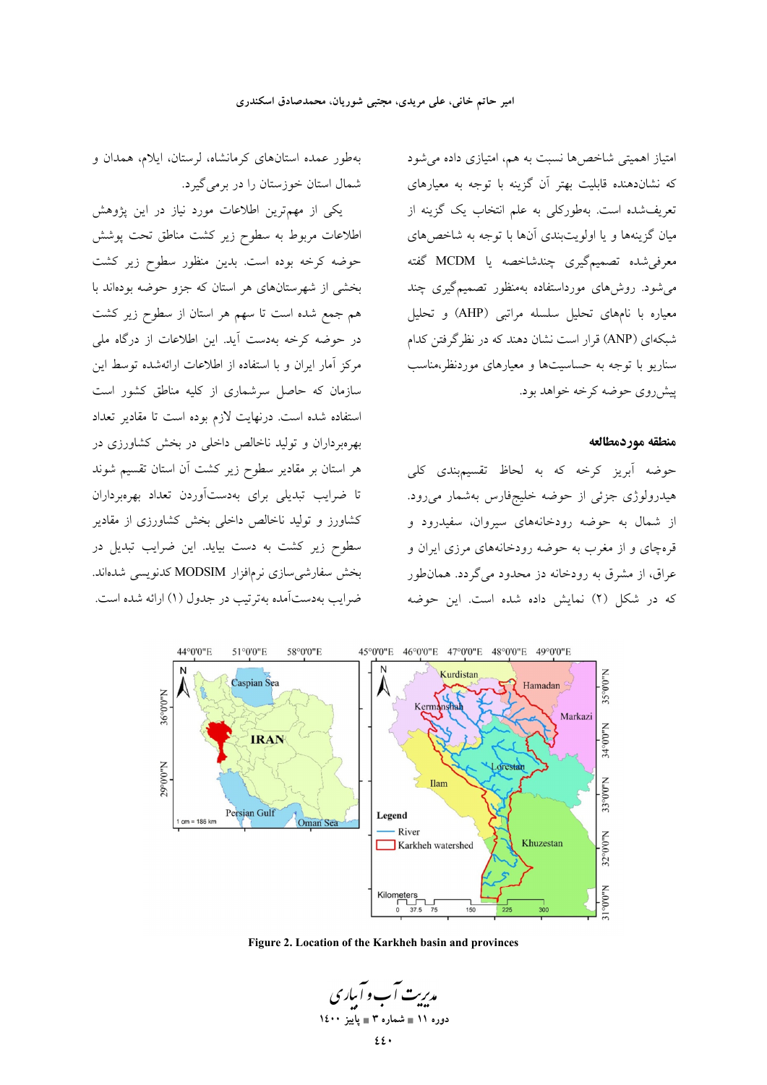بهطور عمده استانهای کرمانشاه، لرستان، ایلام، همدان و

یکی از مهمترین اطلاعات مورد نیاز در این پژوهش

اطلاعات مربوط به سطوح زیر کشت مناطق تحت پوشش حوضه کرخه بوده است. بدین منظور سطوح زیر کشت

بخشی از شهرستانهای هر استان که جزو حوضه بودهاند با

هم جمع شده است تا سهم هر استان از سطوح زیر کشت

در حوضه كرخه بهدست آيد. اين اطلاعات از درگاه ملي

مرکز آمار ایران و با استفاده از اطلاعات ارائهشده توسط این

سازمان که حاصل سرشماری از کلیه مناطق کشور است

استفاده شده است. درنهایت لازم بوده است تا مقادیر تعداد

بهرهبرداران و تولید ناخالص داخلی در بخش کشاورزی در

هر استان بر مقادیر سطوح زیر کشت آن استان تقسیم شوند

تا ضرایب تبدیلی برای بهدستآوردن تعداد بهرهبرداران

کشاورز و تولید ناخالص داخلی بخش کشاورزی از مقادیر

سطوح زیر کشت به دست بیاید. این ضرایب تبدیل در

بخش سفارشی سازی نرمافزار MODSIM کدنویسی شدهاند.

ضرایب بهدستآمده بهترتیب در جدول (۱) ارائه شده است.

شمال استان خوزستان را در برمی گیرد.

امتیاز اهمیتی شاخصها نسبت به هم، امتیازی داده می شود که نشاندهنده قابلیت بهتر آن گزینه با توجه به معیارهای .<br>تعریفشده است. بهطورکل<sub>ی</sub> به علم انتخاب یک گزینه از میان گزینهها و یا اولویتبندی آنها با توجه به شاخصهای معرفی شده تصمیمگیری چندشاخصه یا MCDM گفته می شود. روشهای مورداستفاده بهمنظور تصمیمگیری چند معیاره با نامهای تحلیل سلسله مراتبی (AHP) و تحلیل شبکهای (ANP) قرار است نشان دهند که در نظرگرفتن کدام سناریو با توجه به حساسیتها و معیارهای موردنظر،مناسب پیش روی حوضه کرخه خواهد بود.

#### منطقه موردمطالعه

حوضه آبریز کرخه که به لحاظ تقسیمبندی کلی هیدرولوژی جزئی از حوضه خلیجفارس بهشمار میرود. از شمال به حوضه رودخانههای سیروان، سفیدرود و قرهچای و از مغرب به حوضه رودخانههای مرزی ایران و عراق، از مشرق به رودخانه دز محدود می گردد. همان طور که در شکل (۲) نمایش داده شده است. این حوضه



Figure 2. Location of the Karkheh basin and provinces

مدیریت آب و آبیاری دوره ۱۱ ∎ شماره ۳ ∎ یاییز ۱٤۰۰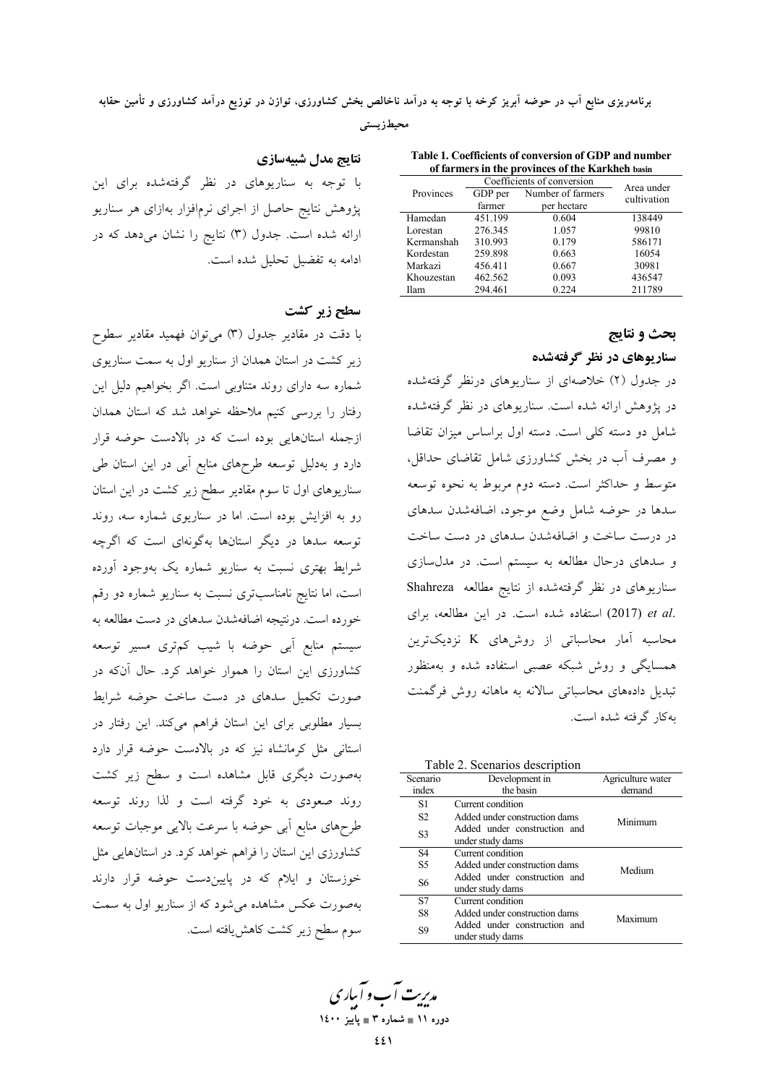برنامهریزی منابع اب در حوضه ابریز کرخه با توجه به درامد ناخالص بخش کشاورزی، توازن در توزیع درامد کشاورزی و تامین حقابه

**، محیطزیستی** 

**نتايج مدل شبيهسازي** با توجه به سناریوهای در نظر گرفتهشده برای این پژوهش نتایج حاصل از اجرای نرمافزار بهازای هر سناریو ارائه شده است. جدول (۳) نتایج را نشان میدهد که در ادامه به تفضيل تحليل شده است.

#### سطح زیر کشت

با دقت در مقادیر جدول (۳) میتوان فهمید مقادیر سطوح زیر کشت در استان همدان از سناریو اول به سمت سناریوی شماره سه دارای روند متناوبی است. اگر بخواهیم دلیل این رفتار را بررسی کنیم ملاحظه خواهد شد که استان همدان زجمله استانهایی بوده است که در بالادست حوضه قرار دارد و بهدلیل توسعه طرحهای منابع ابی در این استان طی سناریوهای اول تا سوم مقادیر سطح زیر کشت در این استان رو به افزایش بوده است. اما در سناریوی شماره سه، روند توسعه سدها در دیگر استانها بهگونهای است که اگرچه شرایط بهتری نسبت به سناریو شماره یک بهوجود اورده است، اما نتایج نامناسبتری نسبت به سناریو شماره دو رقم خورده است. درنتیجه اضافهشدن سدهای در دست مطالعه به سیستم منابع آبی حوضه با شیب کمتری مسیر توسعه کشاورزی این استان را هموار خواهد کرد. حال انکه در صورت تکمیل سدهای در دست ساخت حوضه شرایط بسیار مطلوبی برای این استان فراهم میکند. این رفتار در استانی مثل کرمانشاه نیز که در بالادست حوضه قرار دارد بهصورت دیگری قابل مشاهده است و سطح زیر کشت روند صعودی به خود گرفته است و لذا روند توسعه طرحهای منابع ابی حوضه با سرعت بالایی موجبات توسعه کشاورزی این استان را فراهم خواهد کرد. در استانهایی مثل خوزستان و ایلام که در پاییندست حوضه قرار دارند بهصورت عکس مشاهده میشود که از سناریو اول به سمت سوم سطح زیر کشت کاهش یافته است.

**Table 1. Coefficients of conversion of GDP and number of farmers in the provinces of the Karkheh basin**

|             | Coefficients of conversion | Area under        |             |  |
|-------------|----------------------------|-------------------|-------------|--|
| Provinces   | GDP per                    | Number of farmers | cultivation |  |
|             | farmer                     | per hectare       |             |  |
| Hamedan     | 451.199                    | 0.604             | 138449      |  |
| Lorestan    | 276.345                    | 1.057             | 99810       |  |
| Kermanshah  | 310.993                    | 0.179             | 586171      |  |
| Kordestan   | 259.898                    | 0.663             | 16054       |  |
| Markazi     | 456.411                    | 0.667             | 30981       |  |
| Khouzestan  | 462.562                    | 0.093             | 436547      |  |
| <b>Ilam</b> | 294.461                    | 0.224             | 211789      |  |

**بحث و نتايج** سنار یوهای در نظر گرفتهشده

در جدول (۲) خلاصهای از سناریوهای درنظر گرفتهشده در پژوهش ارائه شده است. سناریوهای در نظر گرفتهشده شامل دو دسته کلی است. دسته اول براساس میزان تقاضا و مصرف أب در بخش كشاورزى شامل تقاضاى حداقل، متوسط و حداکثر است. دسته دوم مربوط به نحوه توسعه سدها در حوضه شامل وضع موجود، اضافهشدن سدهای در درست ساخت و اضافهشدن سدهای در دست ساخت سدهای درحال مطالعه به سیستم است. در مدلسازی سناریوهای در نظر گرفتهشده از نتایج مطالعه Shahreza .et al (2017) استفاده شده است. در این مطالعه، برای محاسبه آمار محاسباتی از روشهای K نزدیکترین همسایگی و روش شبکه عصبی استفاده شده و بهمنظور نبدیل دادههای محاسباتی سالانه به ماهانه روش فرگمنت پەكار گوفتە شدە است.

Table 2. Scenarios description

| Scenario       | Development in                                   | Agriculture water |
|----------------|--------------------------------------------------|-------------------|
| index          | the basin                                        | demand            |
| S1             | Current condition                                |                   |
| S <sub>2</sub> | Added under construction dams                    | Minimum           |
| S <sub>3</sub> | Added under construction and<br>under study dams |                   |
| S4             | Current condition                                |                   |
| S <sub>5</sub> | Added under construction dams                    | Medium            |
| S6             | Added under construction and<br>under study dams |                   |
| S7             | Current condition                                |                   |
| S8             | Added under construction dams                    | Maximum           |
| S9             | Added under construction and<br>under study dams |                   |

م*ەيرىت آ*ب و آبى*اد ي* **1400 - 3 
 11**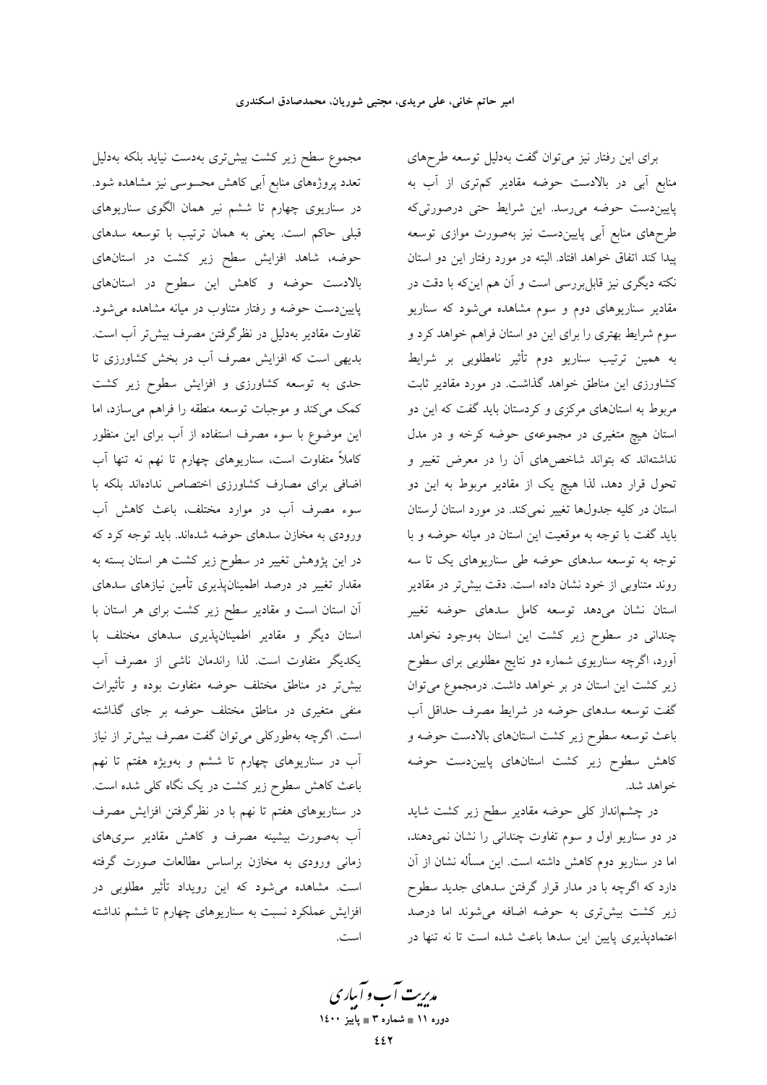مجموع سطح زیر کشت بیشتری بهدست نیاید بلکه بهدلیل تعدد پروژههای منابع آبی کاهش محسوسی نیز مشاهده شود. در سناریوی چهارم تا ششم نیر همان الگوی سناریوهای قبلی حاکم است. یعنی به همان ترتیب با توسعه سدهای حوضه، شاهد افزایش سطح زیر کشت در استانهای بالادست حوضه و كاهش اين سطوح در استانهاي پاییندست حوضه و رفتار متناوب در میانه مشاهده می شود. تفاوت مقادير بهدليل در نظرگرفتن مصرف بيش تر آب است. بدیهی است که افزایش مصرف آب در بخش کشاورزی تا حدی به توسعه کشاورزی و افزایش سطوح زیر کشت کمک میکند و موجبات توسعه منطقه را فراهم میسازد، اما این موضوع با سوء مصرف استفاده از آب برای این منظور کاملاً متفاوت است، سناریوهای چهارم تا نهم نه تنها آب اضافی برای مصارف کشاورزی اختصاص ندادهاند بلکه با سوء مصرف آب در موارد مختلف، باعث کاهش آب ورودی به مخازن سدهای حوضه شدهاند. باید توجه کرد که در این پژوهش تغییر در سطوح زیر کشت هر استان بسته به مقدار تغییر در درصد اطمینانپذیری تأمین نیازهای سدهای آن استان است و مقادیر سطح زیر کشت برای هر استان با استان دیگر و مقادیر اطمینانپذیری سدهای مختلف با يكديگر متفاوت است. لذا راندمان ناشي از مصرف آب بیش تر در مناطق مختلف حوضه متفاوت بوده و تأثیرات منفی متغیری در مناطق مختلف حوضه بر جای گذاشته است. اگرچه بهطورکلی میتوان گفت مصرف بیش تر از نیاز اّب در سناریوهای چهارم تا ششم و بهویژه هفتم تا نهم باعث کاهش سطوح زیر کشت در یک نگاه کلی شده است. در سناریوهای هفتم تا نهم با در نظرگرفتن افزایش مصرف آب بهصورت بیشینه مصرف و کاهش مقادیر سریهای زمانی ورودی به مخازن براساس مطالعات صورت گرفته است. مشاهده میشود که این رویداد تأثیر مطلوبی در افزایش عملکرد نسبت به سناریوهای چهارم تا ششم نداشته است.

برای این رفتار نیز میتوان گفت بهدلیل توسعه طرحهای منابع آبی در بالادست حوضه مقادیر کمتری از آب به پاییندست حوضه میرسد. این شرایط حتی درصورتیکه طرحهای منابع آبی پاییندست نیز بهصورت موازی توسعه پیدا کند اتفاق خواهد افتاد. البته در مورد رفتار این دو استان نکته دیگری نیز قابلبررسی است و آن هم اینکه با دقت در مقادیر سناریوهای دوم و سوم مشاهده میشود که سناریو سوم شرایط بهتری را برای این دو استان فراهم خواهد کرد و به همین ترتیب سناریو دوم تأثیر نامطلوبی بر شرایط کشاورزی این مناطق خواهد گذاشت. در مورد مقادیر ثابت مربوط به استانهای مرکزی و کردستان باید گفت که این دو استان هیچ متغیری در مجموعهی حوضه کرخه و در مدل نداشتهاند که بتواند شاخصهای آن را در معرض تغییر و تحول قرار دهد، لذا هیچ یک از مقادیر مربوط به این دو استان در کلیه جدولها تغییر نمی کند. در مورد استان لرستان بايد گفت با توجه به موقعيت اين استان در ميانه حوضه و با توجه به توسعه سدهای حوضه طی سناریوهای یک تا سه روند متناوبی از خود نشان داده است. دقت بیش تر در مقادیر استان نشان میدهد توسعه کامل سدهای حوضه تغییر چندانی در سطوح زیر کشت این استان بهوجود نخواهد ۔<br>آورد، اگرچه سناریوی شماره دو نتایج مطلوبی برای سطوح زیر کشت این استان در بر خواهد داشت. درمجموع می توان گفت توسعه سدهای حوضه در شرایط مصرف حداقل آب باعث توسعه سطوح زير كشت استانهاي بالادست حوضه و کاهش سطوح زیر کشت استانهای پاییندست حوضه خواهد شد.

در چشم|نداز کلی حوضه مقادیر سطح زیر کشت شاید در دو سناریو اول و سوم تفاوت چندانی را نشان نمیدهند، اما در سناریو دوم کاهش داشته است. این مسأله نشان از آن دارد که اگرچه با در مدار قرار گرفتن سدهای جدید سطوح زیر کشت بیشتری به حوضه اضافه میشوند اما درصد اعتمادپذیری پایین این سدها باعث شده است تا نه تنها در

مدبریت آب و آبیاری دوره ۱۱ ∎ شماره ۳ ∎ یاییز ۱٤۰۰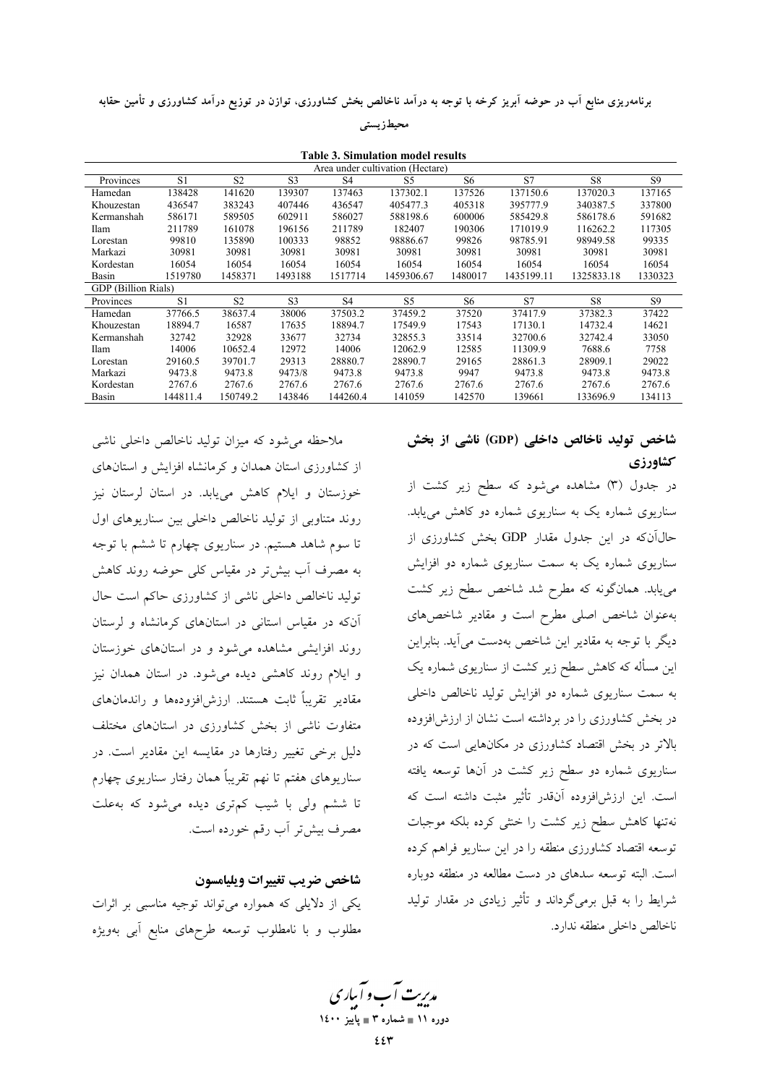برنامهریزی منابع اب در حوضه ابریز کرخه با توجه به درامد ناخالص بخش کشاورزی، توازن در توزیع درامد کشاورزی و تامین حقابه

#### **، محیطزیستی**

| <b>Table 3. Simulation model results</b> |          |                |                |                |                |                |            |                |                |
|------------------------------------------|----------|----------------|----------------|----------------|----------------|----------------|------------|----------------|----------------|
| Area under cultivation (Hectare)         |          |                |                |                |                |                |            |                |                |
| Provinces                                | S1       | S <sub>2</sub> | S <sub>3</sub> | S <sub>4</sub> | S <sub>5</sub> | S <sub>6</sub> | S7         | S8             | S <sub>9</sub> |
| Hamedan                                  | 138428   | 141620         | 139307         | 137463         | 137302.1       | 137526         | 137150.6   | 137020.3       | 137165         |
| Khouzestan                               | 436547   | 383243         | 407446         | 436547         | 405477.3       | 405318         | 395777.9   | 340387.5       | 337800         |
| Kermanshah                               | 586171   | 589505         | 602911         | 586027         | 588198.6       | 600006         | 585429.8   | 586178.6       | 591682         |
| Ilam                                     | 211789   | 161078         | 196156         | 211789         | 182407         | 190306         | 171019.9   | 116262.2       | 117305         |
| Lorestan                                 | 99810    | 135890         | 100333         | 98852          | 98886.67       | 99826          | 98785.91   | 98949.58       | 99335          |
| Markazi                                  | 30981    | 30981          | 30981          | 30981          | 30981          | 30981          | 30981      | 30981          | 30981          |
| Kordestan                                | 16054    | 16054          | 16054          | 16054          | 16054          | 16054          | 16054      | 16054          | 16054          |
| Basin                                    | 1519780  | 1458371        | 1493188        | 1517714        | 1459306.67     | 1480017        | 1435199.11 | 1325833.18     | 1330323        |
| <b>GDP</b> (Billion Rials)               |          |                |                |                |                |                |            |                |                |
| Provinces                                | S1       | S <sub>2</sub> | S <sub>3</sub> | S <sub>4</sub> | S5             | S6             | S7         | S <sub>8</sub> | S9             |
| Hamedan                                  | 37766.5  | 38637.4        | 38006          | 37503.2        | 37459.2        | 37520          | 37417.9    | 37382.3        | 37422          |
| Khouzestan                               | 18894.7  | 16587          | 17635          | 18894.7        | 17549.9        | 17543          | 17130.1    | 14732.4        | 14621          |
| Kermanshah                               | 32742    | 32928          | 33677          | 32734          | 32855.3        | 33514          | 32700.6    | 32742.4        | 33050          |
| Ilam                                     | 14006    | 10652.4        | 12972          | 14006          | 12062.9        | 12585          | 11309.9    | 7688.6         | 7758           |
| Lorestan                                 | 29160.5  | 39701.7        | 29313          | 28880.7        | 28890.7        | 29165          | 28861.3    | 28909.1        | 29022          |
| Markazi                                  | 9473.8   | 9473.8         | 9473/8         | 9473.8         | 9473.8         | 9947           | 9473.8     | 9473.8         | 9473.8         |
| Kordestan                                | 2767.6   | 2767.6         | 2767.6         | 2767.6         | 2767.6         | 2767.6         | 2767.6     | 2767.6         | 2767.6         |
| Basin                                    | 144811.4 | 150749.2       | 143846         | 144260.4       | 141059         | 142570         | 139661     | 133696.9       | 134113         |

# شاخص تولید ناخالص داخلی (GDP) ناشی از بخش **كشاورزي**

در جدول (۳) مشاهده میشود که سطح زیر کشت از سناریوی شماره یک به سناریوی شماره دو کاهش مییابد. حال\نکه در این جدول مقدار GDP بخش کشاورزی از سناریوی شماره یک به سمت سناریوی شماره دو افزایش مییابد. همانگونه که مطرح شد شاخص سطح زیر کشت بهعنوان شاخص اصلی مطرح است و مقادیر شاخصهای دیگر با توجه به مقادیر این شاخص بهدست می!ید. بنابراین ین مساله که کاهش سطح زیر کشت از سناریوی شماره یک - به سمت سناریوی شماره دو افزایش تولید ناخالص داخلی در بخش کشاورزی را در برداشته است نشان از ارزش|فزوده بالاتر در بخش اقتصاد کشاورزی در مکانهایی است که در سناریوی شماره دو سطح زیر کشت در انها توسعه یافته ست. این ارزش|فزوده انقدر تاثیر مثبت داشته است که نهتنها کاهش سطح زیر کشت را خنثی کرده بلکه موجبات نوسعه اقتصاد کشاورزی منطقه را در این سناریو فراهم کرده است. البته توسعه سدهای در دست مطالعه در منطقه دوباره شرایط را به قبل برمیگرداند و تاثیر زیادی در مقدار تولید ناخالص داخلي منطقه ندارد.

ملاحظه می شود که میزان تولید ناخالص داخلی ناشی از کشاورزی استان همدان و کرمانشاه افزایش و استانهای خوزستان و ایلام کاهش مییابد. در استان لرستان نیز روند متناوبی از تولید ناخالص داخلی بین سناریوهای اول تا سوم شاهد هستیم. در سناریوی چهارم تا ششم با توجه به مصرف أب بيش تر در مقياس كلي حوضه روند كاهش تولید ناخالص داخلی ناشی از کشاورزی حاکم است حال آنکه در مقیاس استانی در استانهای کرمانشاه و لرستان روند افزایشی مشاهده میشود و در استانهای خوزستان و ایلام روند کاهشی دیده میشود. در استان همدان نیز مقادیر تقریبا ثابت هستند. ارزش|فزودهها و راندمانهای متفاوت ناشی از بخش کشاورزی در استانهای مختلف دلیل برخی تغییر رفتارها در مقایسه این مقادیر است. در سناریوهای هفتم تا نهم تقریبا همان رفتار سناریوی چهارم تا ششم ول<sub>ی</sub> با شیب کم,تری دیده م<sub>ی</sub>شود که بهعلت مصرف بيش تر أب رقم خورده است.

# شاخص ضريب تغييرات ويليامسون یکی از دلایلی که همواره میتواند توجیه مناسبی بر اثرات مطلوب و با نامطلوب توسعه طرحهای منابع ابی بهویژه

مدیریت آب و آباری **1400 - 3 
 11**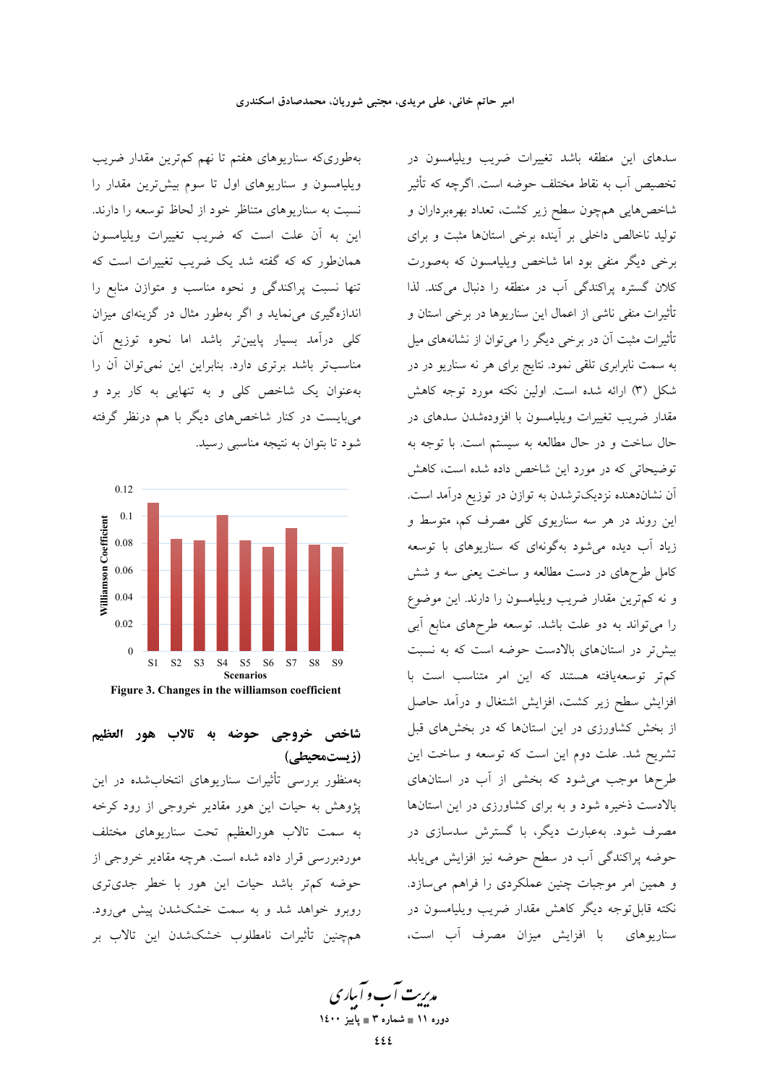بهطوریکه سناریوهای هفتم تا نهم کم ترین مقدار ضریب ویلیامسون و سناریوهای اول تا سوم بیش ترین مقدار را نسبت به سناریوهای متناظر خود از لحاظ توسعه را دارند. این به آن علت است که ضریب تغییرات ویلیامسون همانطور که که گفته شد یک ضریب تغییرات است که تنها نسبت پراکندگی و نحوه مناسب و متوازن منابع را اندازهگیری می نماید و اگر بهطور مثال در گزینهای میزان كلى درآمد بسيار پايينتر باشد اما نحوه توزيع آن مناسبتر باشد برتری دارد. بنابراین این نمیتوان آن را بهعنوان یک شاخص کلی و به تنهایی به کار برد و می بایست در کنار شاخصهای دیگر با هم درنظر گرفته شود تا بتوان به نتيجه مناسبي رسيد.



Figure 3. Changes in the williamson coefficient

# شاخص خروجي حوضه به تالاب هور العظيم (زیستمحیطے)

بهمنظور بررسی تأثیرات سناریوهای انتخابشده در این پژوهش به حیات این هور مقادیر خروجی از رود کرخه به سمت تالاب هورالعظیم تحت سناریوهای مختلف موردبررسی قرار داده شده است. هرچه مقادیر خروجی از حوضه كم تر باشد حيات اين هور با خطر جدى ترى روبرو خواهد شد و به سمت خشکشدن پیش می رود. همچنین تأثیرات نامطلوب خشکشدن این تالاب بر

سدهای این منطقه باشد تغییرات ضریب ویلیامسون در تخصیص اّب به نقاط مختلف حوضه است. اگرچه که تأثیر شاخصهایی همچون سطح زیر کشت، تعداد بهرهبرداران و تولید ناخالص داخلی بر آینده برخی استانها مثبت و برای برخی دیگر منفی بود اما شاخص ویلپامسون که بهصورت كلان گستره پراكندگى آب در منطقه را دنبال مى كند. لذا تأثیرات منفی ناشی از اعمال این سناریوها در برخی استان و تأثیرات مثبت آن در برخی دیگر را میتوان از نشانههای میل به سمت نابرابری تلقی نمود. نتایج برای هر نه سناریو در در شکل (٣) ارائه شده است. اولین نکته مورد توجه کاهش مقدار ضریب تغییرات ویلیامسون با افزودهشدن سدهای در حال ساخت و در حال مطالعه به سیستم است. با توجه به توضیحاتی که در مورد این شاخص داده شده است، کاهش آن نشاندهنده نزدیکترشدن به توازن در توزیع درآمد است. این روند در هر سه سناریوی کلی مصرف کم، متوسط و زیاد آب دیده می شود بهگونهای که سناریوهای با توسعه کامل طرحهای در دست مطالعه و ساخت یعنی سه و شش و نه كمترين مقدار ضريب ويليامسون را دارند. اين موضوع را می تواند به دو علت باشد. توسعه طرحهای منابع آبی بیشتر در استانهای بالادست حوضه است که به نسبت کم تر توسعهیافته هستند که این امر متناسب است با افزایش سطح زیر کشت، افزایش اشتغال و درآمد حاصل از بخش کشاورزی در این استانها که در بخشهای قبل تشریح شد. علت دوم این است که توسعه و ساخت این طرحها موجب می شود که بخشی از آب در استانهای بالادست ذخیره شود و به برای کشاورزی در این استانها مصرف شود. بهعبارت دیگر، با گسترش سدسازی در حوضه پراکندگی آب در سطح حوضه نیز افزایش مییابد و همین امر موجبات چنین عملکردی را فراهم میسازد. نکته قابل توجه دیگر کاهش مقدار ضریب ویلیامسون در سناریوهای با افزایش میزان مصرف آب است،

م*دی*ت آب و آباری دوره ۱۱ ∎ شماره ۳ ∎ یاییز ۱٤۰۰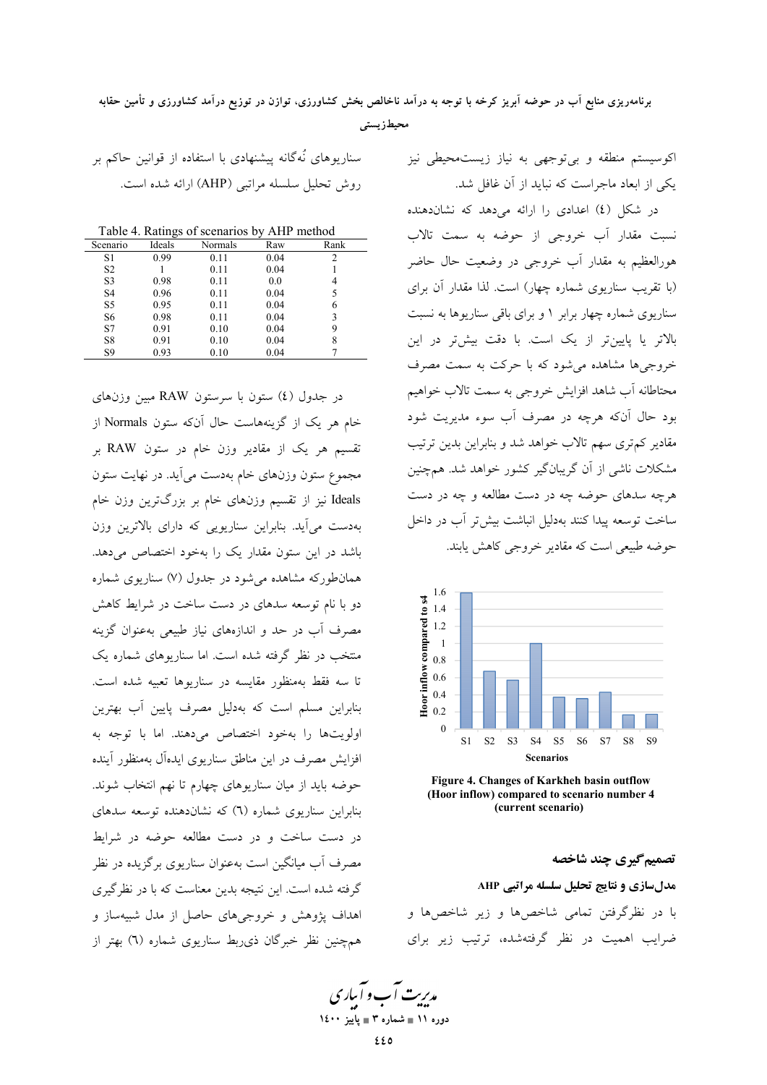## برنامهریزی منابع آب در حوضه آبریز کرخه با توجه به درآمد ناخالص بخش کشاورزی، توازن در توزیع درآمد کشاورزی و تأمین حقابه محيطزيستى

اکوسیستم منطقه و بی توجهی به نیاز زیستمحیطی نیز یکی از ابعاد ماجراست که نباید از آن غافل شد.

در شکل (٤) اعدادی را ارائه می دهد که نشاندهنده نسبت مقدار آب خروجی از حوضه به سمت تالاب هورالعظیم به مقدار آب خروجی در وضعیت حال حاضر (با تقریب سناریوی شماره چهار) است. لذا مقدار آن برای سناریوی شماره چهار برابر ۱ و برای باقی سناریوها به نسبت .<br>بالاتر یا پایینتر از یک است. با دقت بیشتر در این خروجیها مشاهده میشود که با حرکت به سمت مصرف محتاطانه آب شاهد افزایش خروجی به سمت تالاب خواهیم بود حال آنکه هرچه در مصرف آب سوء مدیریت شود مقادیر کمتری سهم تالاب خواهد شد و بنابراین بدین ترتیب مشکلات ناشی از آن گریبانگیر کشور خواهد شد. همچنین هرچه سدهای حوضه چه در دست مطالعه و چه در دست ساخت توسعه پیدا کنند بهدلیل انباشت بیش تر آب در داخل حوضه طبیعی است که مقادیر خروج<sub>ه،</sub> کاهش یابند.



Figure 4. Changes of Karkheh basin outflow (Hoor inflow) compared to scenario number 4 (current scenario)

تصمیم گیری چند شاخصه مدلسازي و نتايج تحليل سلسله مراتبي AHP با در نظرگرفتن تمامی شاخصها و زیر شاخصها و ضرایب اهمیت در نظر گرفتهشده، ترتیب زیر برای

سناریوهای نُهگانه پیشنهادی با استفاده از قوانین حاکم بر روش تحليل سلسله مراتبي (AHP) ارائه شده است.

Table 4. Ratings of scenarios by AHP method

| Scenario       | Ideals | Normals | Raw  | Rank          |
|----------------|--------|---------|------|---------------|
| S1             | 0.99   | 0.11    | 0.04 | $\mathcal{D}$ |
| S <sub>2</sub> |        | 0.11    | 0.04 |               |
| S <sub>3</sub> | 0.98   | 0.11    | 0.0  | 4             |
| S <sub>4</sub> | 0.96   | 0.11    | 0.04 | 5             |
| S5             | 0.95   | 0.11    | 0.04 |               |
| S6             | 0.98   | 0.11    | 0.04 | 3             |
| S7             | 0.91   | 0.10    | 0.04 | 9             |
| S8             | 0.91   | 0.10    | 0.04 | 8             |
| S9             | 0.93   | 0.10    | 0.04 |               |

در جدول (٤) ستون با سرستون RAW مبين وزنهاى خام هر یک از گزینههاست حال آنکه ستون Normals از .<br>تقسیم هر یک از مقادیر وزن خام در ستون RAW بر مجموع ستون وزنهای خام بهدست می آید. در نهایت ستون Ideals نیز از تقسیم وزنهای خام بر بزرگترین وزن خام بهدست می آید. بنابراین سناریویی که دارای بالاترین وزن باشد در این ستون مقدار یک را بهخود اختصاص میدهد. همانطورکه مشاهده می شود در جدول (۷) سناریوی شماره دو با نام توسعه سدهای در دست ساخت در شرایط کاهش مصرف آب در حد و اندازههای نیاز طبیعی بهعنوان گزینه منتخب در نظر گرفته شده است. اما سناریوهای شماره یک تا سه فقط بهمنظور مقايسه در سناريوها تعبيه شده است. بنابراین مسلم است که بهدلیل مصرف پایین آب بهترین اولويتها را بهخود اختصاص مى دهند. اما با توجه به افزایش مصرف در این مناطق سناریوی ایدهآل بهمنظور آینده حوضه باید از میان سناریوهای چهارم تا نهم انتخاب شوند. بنابراین سناریوی شماره (٦) که نشاندهنده توسعه سدهای در دست ساخت و در دست مطالعه حوضه در شرایط مصرف آب میانگین است بهعنوان سناریوی برگزیده در نظر گرفته شده است. این نتیجه بدین معناست که با در نظرگیری اهداف پژوهش و خروجیهای حاصل از مدل شبیهساز و همچنین نظر خبرگان ذی ربط سناریوی شماره (٦) بهتر از

مدریت آب و آباری دوره ۱۱ ∎ شماره ۳ ∎ یاییز ۱٤۰۰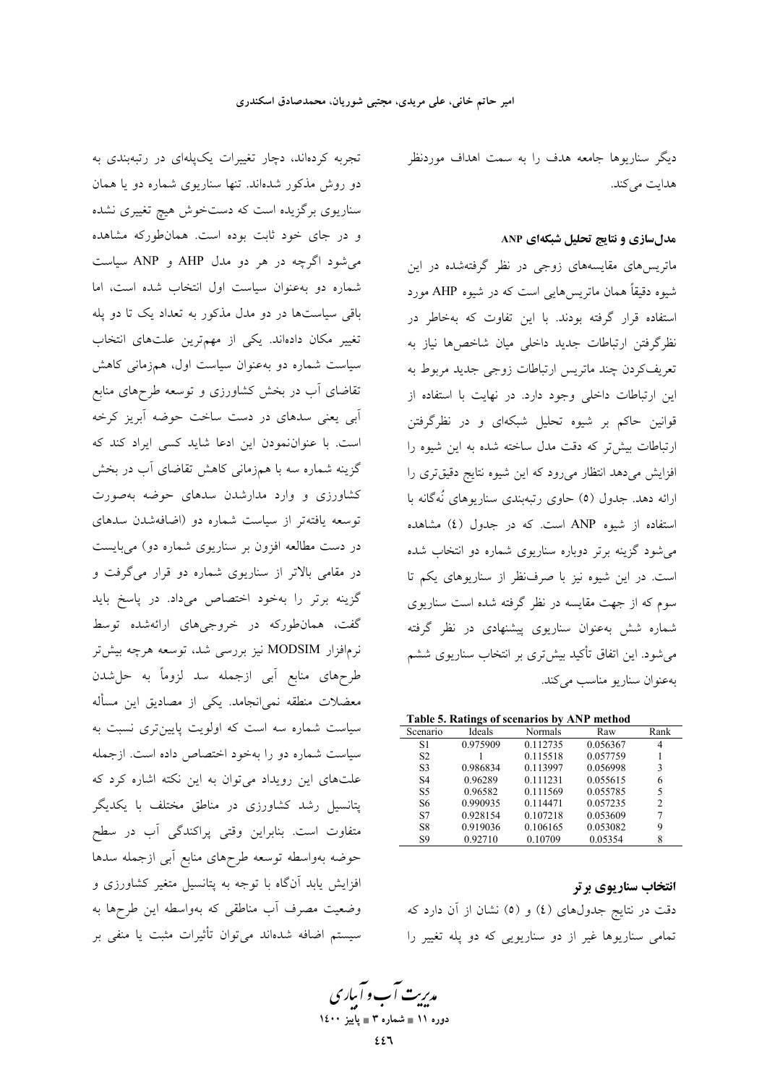دیگر سناریوها جامعه هدف را به سمت اهداف موردنظر هدايت مي كند.

#### مدلسازی و نتایج تحلیل شبکهای ANP

ماتریسهای مقایسههای زوجی در نظر گرفتهشده در این شیوه دقیقاً همان ماتریسهایی است که در شیوه AHP مورد استفاده قرار گرفته بودند. با این تفاوت که بهخاطر در نظرگرفتن ارتباطات جدید داخلی میان شاخصها نیاز به تعریفکردن چند ماتریس ارتباطات زوجی جدید مربوط به این ارتباطات داخلی وجود دارد. در نهایت با استفاده از قوانین حاکم بر شیوه تحلیل شبکهای و در نظرگرفتن ارتباطات بیش تر که دقت مدل ساخته شده به این شیوه را افزایش میدهد انتظار میرود که این شیوه نتایج دقیقتری را ارائه دهد. جدول (٥) حاوي رتبهبندي سناريوهاي نُهگانه با استفاده از شیوه ANP است. که در جدول (٤) مشاهده می شود گزینه برتر دوباره سناریوی شماره دو انتخاب شده است. در این شیوه نیز با صرفنظر از سناریوهای یکم تا سوم که از جهت مقایسه در نظر گرفته شده است سناریوی شماره شش بهعنوان سناریوی پیشنهادی در نظر گرفته می شود. این اتفاق تأکید بیشتری بر انتخاب سناریوی ششم به عنوان سناريو مناسب مي كند.

| Table 5. Ratings of scenarios by ANP method |  |  |  |  |
|---------------------------------------------|--|--|--|--|
|---------------------------------------------|--|--|--|--|

| Scenario       | Ideals   | Normals  | Raw      | Rank |
|----------------|----------|----------|----------|------|
| S1             | 0.975909 | 0.112735 | 0.056367 | 4    |
| S <sub>2</sub> |          | 0.115518 | 0.057759 |      |
| S3             | 0.986834 | 0.113997 | 0.056998 | 3    |
| S4             | 0.96289  | 0.111231 | 0.055615 | 6    |
| S <sub>5</sub> | 0.96582  | 0.111569 | 0.055785 | 5    |
| S6             | 0.990935 | 0.114471 | 0.057235 | 2    |
| S7             | 0.928154 | 0.107218 | 0.053609 | 7    |
| S8             | 0.919036 | 0.106165 | 0.053082 | 9    |
| S9             | 0.92710  | 0.10709  | 0.05354  | 8    |

انتخاب سناريوي برتر دقت در نتایج جدولهای (٤) و (٥) نشان از آن دارد که تمامی سناریوها غیر از دو سناریویی که دو پله تغییر را

تجربه کردهاند، دچار تغییرات یکپلهای در رتبهبندی به دو روش مذکور شدهاند. تنها سناریوی شماره دو یا همان سناریوی برگزیده است که دستخوش هیچ تغییری نشده و در جای خود ثابت بوده است. همان طورکه مشاهده می شود اگرچه در هر دو مدل AHP و ANP سیاست شماره دو به عنوان سیاست اول انتخاب شده است، اما باقی سیاستها در دو مدل مذکور به تعداد یک تا دو پله تغییر مکان دادهاند. یکی از مهمترین علتهای انتخاب سیاست شماره دو بهعنوان سیاست اول، همزمانی کاهش تقاضای آب در بخش کشاورزی و توسعه طرحهای منابع <sup>آ</sup>بی یعنی سدهای در دست ساخت حوضه آبریز کرخه است. با عنواننمودن این ادعا شاید کسی ایراد کند که گزینه شماره سه با همزمانی کاهش تقاضای آب در بخش کشاورزی و وارد مدارشدن سدهای حوضه بهصورت توسعه یافتهتر از سیاست شماره دو (اضافهشدن سدهای در دست مطالعه افزون بر سناریوی شماره دو) میبایست در مقامی بالاتر از سناریوی شماره دو قرار میگرفت و گزینه برتر را بهخود اختصاص میداد. در پاسخ باید گفت، همانطورکه در خروجیهای ارائهشده توسط نرمافزار MODSIM نیز بررسی شد، توسعه هرچه بیشتر طرحهای منابع آبی ازجمله سد لزوماً به حل«شدن معضلات منطقه نمی|نجامد. یکی از مصادیق این مسأله سیاست شماره سه است که اولویت پایینتری نسبت به سیاست شماره دو را بهخود اختصاص داده است. ازجمله علتهای این رویداد میتوان به این نکته اشاره کرد که پتانسیل رشد کشاورزی در مناطق مختلف با یکدیگر متفاوت است. بنابراین وقتی پراکندگی آب در سطح حوضه بهواسطه توسعه طرحهاى منابع أبى ازجمله سدها افزایش یابد آنگاه با توجه به پتانسیل متغیر کشاورزی و وضعیت مصرف آب مناطقی که بهواسطه این طرحها به سیستم اضافه شدهاند میتوان تأثیرات مثبت یا منفی بر

مدبریت آب و آبیاری دوره ۱۱ ∎ شماره ۳ ∎ یاییز ۱٤۰۰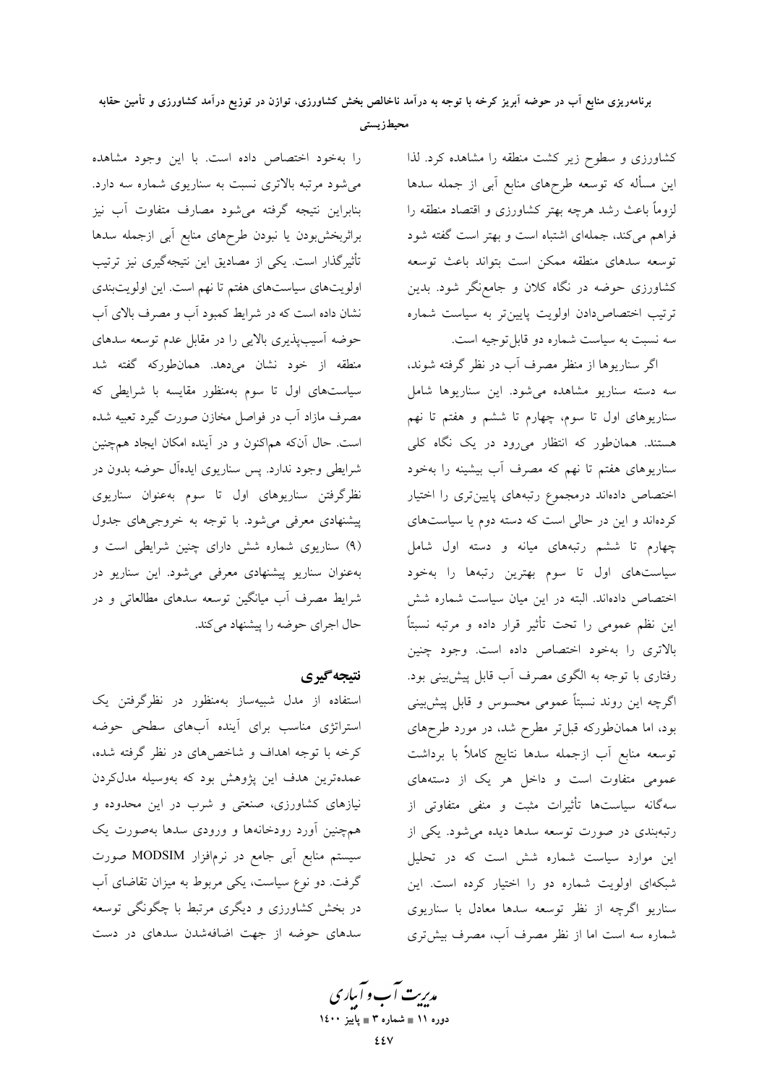کشاورزی و سطوح زیر کشت منطقه را مشاهده کرد. لذا این مسأله که توسعه طرحهای منابع اَبی از جمله سدها لزوماً باعث رشد هرچه بهتر کشاورزی و اقتصاد منطقه را فراهم می کند، جملهای اشتباه است و بهتر است گفته شود توسعه سدهاى منطقه ممكن است بتواند باعث توسعه کشاورزی حوضه در نگاه کلان و جامعنگر شود. بدین ترتیب اختصاص دادن اولویت پایینتر به سیاست شماره سه نسبت به سیاست شماره دو قابل توجیه است.

اگر سناریوها از منظر مصرف آب در نظر گرفته شوند، سه دسته سناریو مشاهده میشود. این سناریوها شامل سناریوهای اول تا سوم، چهارم تا ششم و هفتم تا نهم هستند. همانطور که انتظار میرود در یک نگاه کلی سناریوهای هفتم تا نهم که مصرف آب بیشینه را بهخود اختصاص دادماند درمجموع رتبههای پایینتری را اختیار کردهاند و این در حالی است که دسته دوم یا سیاستهای چهارم تا ششم رتبههای میانه و دسته اول شامل سیاستهای اول تا سوم بهترین رتبهها را بهخود اختصاص دادهاند. البته در این میان سیاست شماره شش این نظم عمومی را تحت تأثیر قرار داده و مرتبه نسبتاً بالاتری را بهخود اختصاص داده است. وجود چنین رفتاری با توجه به الگوی مصرف آب قابل پیش بینی بود. اگرچه این روند نسبتاً عمومی محسوس و قابل پیشبینی بود، اما همان طورکه قبل تر مطرح شد، در مورد طرحهای توسعه منابع آب ازجمله سدها نتايج كاملاً با برداشت عمومی متفاوت است و داخل هر یک از دستههای سهگانه سیاستها تأثیرات مثبت و منفی متفاوتی از رتبهبندی در صورت توسعه سدها دیده میشود. یکی از این موارد سیاست شماره شش است که در تحلیل شبکهای اولویت شماره دو را اختیار کرده است. این سناریو اگرچه از نظر توسعه سدها معادل با سناریوی شماره سه است اما از نظر مصرف آب، مصرف بیشتری

را بهخود اختصاص داده است. با این وجود مشاهده می شود مرتبه بالاتری نسبت به سناریوی شماره سه دارد. بنابراین نتیجه گرفته می شود مصارف متفاوت آب نیز براثربخش بودن يا نبودن طرحهاى منابع أبى ازجمله سدها تأثیرگذار است. یکی از مصادیق این نتیجهگیری نیز ترتیب اولويتهاي سياستهاي هفتم تا نهم است. اين اولويتبندي نشان داده است که در شرایط کمبود آب و مصرف بالای آب حوضه آسیبپذیری بالایی را در مقابل عدم توسعه سدهای منطقه از خود نشان میدهد. همانطورکه گفته شد سیاستهای اول تا سوم بهمنظور مقایسه با شرایطی که مصرف مازاد اّب در فواصل مخازن صورت گیرد تعبیه شده است. حال آنکه هماکنون و در آینده امکان ایجاد همچنین شرایطی وجود ندارد. پس سناریوی ایدهآل حوضه بدون در نظرگرفتن سناریوهای اول تا سوم بهعنوان سناریوی پیشنهادی معرفی میشود. با توجه به خروجیهای جدول (۹) سناریوی شماره شش دارای چنین شرایطی است و بهعنوان سناریو پیشنهادی معرفی می شود. این سناریو در شرایط مصرف آب میانگین توسعه سدهای مطالعاتی و در حال اجرای حوضه را پیشنهاد می کند.

#### نتيجه گيري

استفاده از مدل شبیهساز بهمنظور در نظرگرفتن یک استراتژی مناسب برای آینده آبهای سطحی حوضه کرخه با توجه اهداف و شاخصهای در نظر گرفته شده، عمدهترین هدف این پژوهش بود که بهوسیله مدلکردن نیازهای کشاورزی، صنعتی و شرب در این محدوده و همچنین آورد رودخانهها و ورودی سدها بهصورت یک سیستم منابع آبی جامع در نرمافزار MODSIM صورت گرفت. دو نوع سیاست، یکی مربوط به میزان تقاضای آب در بخش کشاورزی و دیگری مرتبط با چگونگی توسعه سدهای حوضه از جهت اضافهشدن سدهای در دست

مدبریت آب و آبیاری دوره ۱۱ ∎ شماره ۳ ∎ یاییز ۱٤۰۰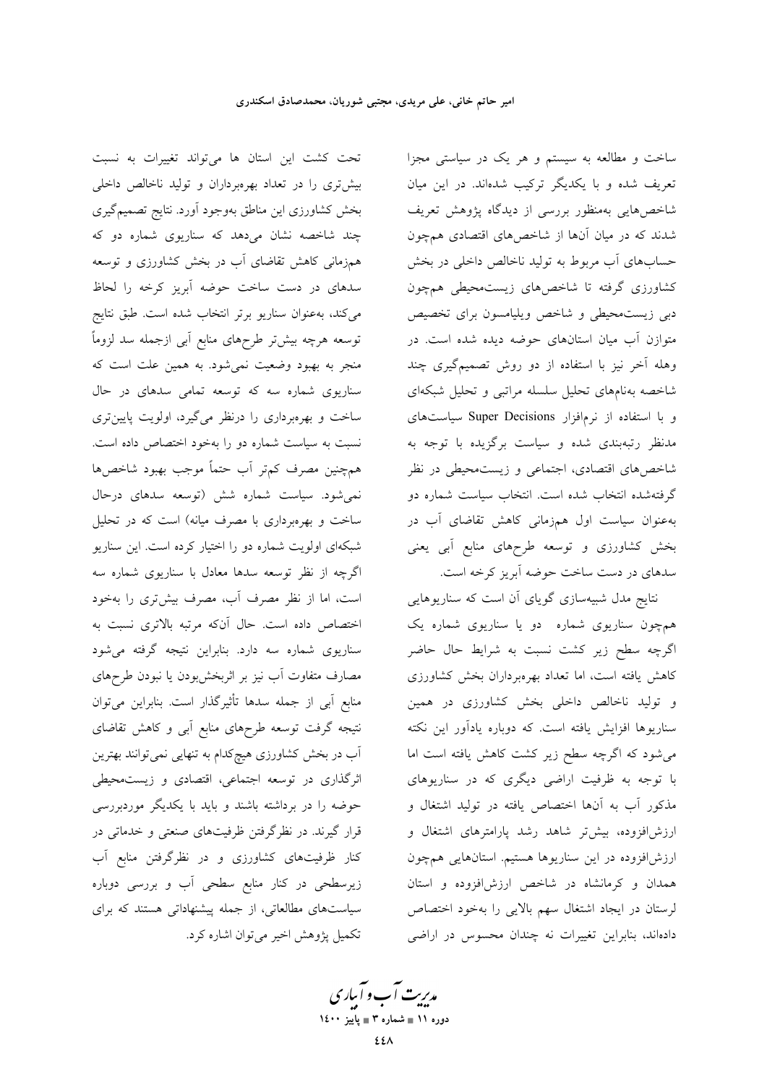تحت کشت این استان ها می تواند تغییرات به نسبت بیش تری را در تعداد بهرهبرداران و تولید ناخالص داخلی بخش کشاورزی این مناطق بهوجود آورد. نتایج تصمیمگیری چند شاخصه نشان میدهد که سناریوی شماره دو که همزمانی کاهش تقاضای آب در بخش کشاورزی و توسعه سدهای در دست ساخت حوضه آبریز کرخه را لحاظ میکند، بهعنوان سناریو برتر انتخاب شده است. طبق نتایج توسعه هرچه بیشتر طرحهای منابع أبی ازجمله سد لزوماً منجر به بهبود وضعیت نمیشود. به همین علت است که سناریوی شماره سه که توسعه تمامی سدهای در حال ساخت و بهرهبرداری را درنظر میگیرد، اولویت پایینتری نسبت به سیاست شماره دو را بهخود اختصاص داده است. همچنین مصرف کمتر أب حتماً موجب بهبود شاخصها نمیشود. سیاست شماره شش (توسعه سدهای درحال ساخت و بهرهبرداری با مصرف میانه) است که در تحلیل شبکهای اولویت شماره دو را اختیار کرده است. این سناریو اگرچه از نظر توسعه سدها معادل با سناریوی شماره سه است، اما از نظر مصرف آب، مصرف بیشتری را بهخود اختصاص داده است. حال آنکه مرتبه بالاتری نسبت به سناریوی شماره سه دارد. بنابراین نتیجه گرفته میشود مصارف متفاوت آب نیز بر اثربخشبودن یا نبودن طرحهای منابع آبي از جمله سدها تأثيرگذار است. بنابراين مي توان نتیجه گرفت توسعه طرحهای منابع آبی و کاهش تقاضای آب در بخش کشاورزی هیچکدام به تنهایی نمیتوانند بهترین اثرگذاری در توسعه اجتماعی، اقتصادی و زیستمحیطی حوضه را در برداشته باشند و باید با یکدیگر موردبررسی قرار گیرند. در نظرگرفتن ظرفیتهای صنعتی و خدماتی در کنار ظرفیتهای کشاورزی و در نظرگرفتن منابع آب زیرسطحی در کنار منابع سطحی آب و بررسی دوباره سیاستهای مطالعاتی، از جمله پیشنهاداتی هستند که برای تکمیل یژوهش اخیر می توان اشاره کرد.

ساخت و مطالعه به سیستم و هر یک در سیاستی مجزا تعریف شده و با یکدیگر ترکیب شدهاند. در این میان شاخصهایی بهمنظور بررسی از دیدگاه پژوهش تعریف شدند که در میان آنها از شاخصهای اقتصادی همچون حسابهای آب مربوط به تولید ناخالص داخلی در بخش کشاورزی گرفته تا شاخصهای زیستمحیطی همچون دبی زیستمحیطی و شاخص ویلیامسون برای تخصیص متوازن آب میان استانهای حوضه دیده شده است. در وهله آخر نیز با استفاده از دو روش تصمیمگیری چند شاخصه بهنامهاى تحليل سلسله مراتبي وتحليل شبكهاى و با استفاده از نرمافزار Super Decisions سیاستهای مدنظر رتبهبندی شده و سیاست برگزیده با توجه به شاخصهای اقتصادی، اجتماعی و زیستمحیطی در نظر گرفتهشده انتخاب شده است. انتخاب سیاست شماره دو به عنوان سیاست اول همزمانی کاهش تقاضای آب در بخش کشاورزی و توسعه طرحهای منابع آبی یعنی سدهای در دست ساخت حوضه آبریز کرخه است.

نتایج مدل شبیهسازی گویای آن است که سناریوهایی همچون سناریوی شماره دو یا سناریوی شماره یک اگرچه سطح زیر کشت نسبت به شرایط حال حاضر کاهش یافته است، اما تعداد بهرهبرداران بخش کشاورزی و تولید ناخالص داخلی بخش کشاورزی در همین سناریوها افزایش یافته است. که دوباره یادآور این نکته می شود که اگرچه سطح زیر کشت کاهش یافته است اما با توجه به ظرفیت اراضی دیگری که در سناریوهای مذکور آب به آنها اختصاص یافته در تولید اشتغال و ارزش|فزوده، بیشتر شاهد رشد پارامترهای اشتغال و ارزشافزوده در این سناریوها هستیم. استانهایی همچون همدان و کرمانشاه در شاخص ارزش افزوده و استان لرستان در ايجاد اشتغال سهم بالايي را بهخود اختصاص دادهاند، بنابراین تغییرات نه چندان محسوس در اراضی

مدبریت آب و آبیاری دوره ۱۱ ∎ شماره ۳ ∎ یاییز ۱٤۰۰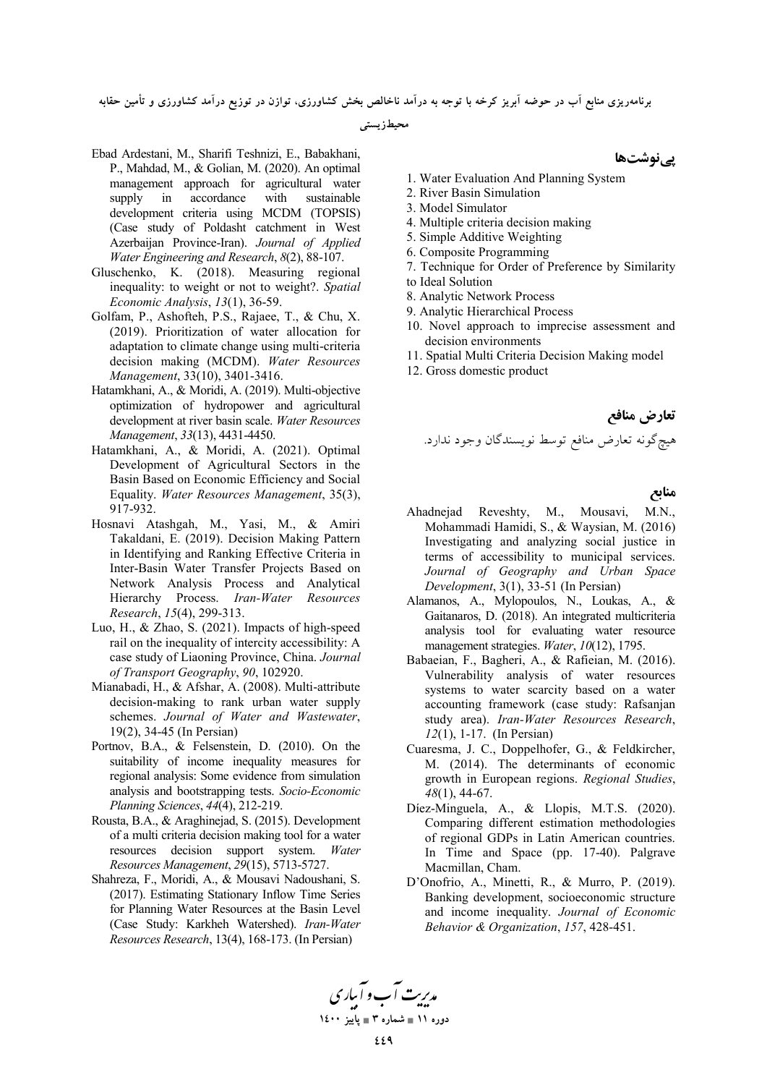برنامهریزی منابع اب در حوضه ابریز کرخه با توجه به درامد ناخالص بخش کشاورزی، توازن در توزیع درامد کشاورزی و تامین حقابه

**، محیطزیستی** 

- Ebad Ardestani, M., Sharifi Teshnizi, E., Babakhani, P., Mahdad, M., & Golian, M. (2020). An optimal management approach for agricultural water supply in accordance with sustainable development criteria using MCDM (TOPSIS) (Case study of Poldasht catchment in West Azerbaijan Province-Iran). *Journal of Applied Water Engineering and Research*, *8*(2), 88-107.
- Gluschenko, K. (2018). Measuring regional inequality: to weight or not to weight?. *Spatial Economic Analysis*, *13*(1), 36-59.
- Golfam, P., Ashofteh, P.S., Rajaee, T., & Chu, X. (2019). Prioritization of water allocation for adaptation to climate change using multi-criteria decision making (MCDM). *Water Resources Management*, 33(10), 3401-3416.
- Hatamkhani, A., & Moridi, A. (2019). Multi-objective optimization of hydropower and agricultural development at river basin scale. *Water Resources Management*, *33*(13), 4431-4450.
- Hatamkhani, A., & Moridi, A. (2021). Optimal Development of Agricultural Sectors in the Basin Based on Economic Efficiency and Social Equality. *Water Resources Management*, 35(3), 917-932.
- Hosnavi Atashgah, M., Yasi, M., & Amiri Takaldani, E. (2019). Decision Making Pattern in Identifying and Ranking Effective Criteria in Inter-Basin Water Transfer Projects Based on Network Analysis Process and Analytical Hierarchy Process. *Iran-Water Resources Research*, *15*(4), 299-313.
- Luo, H., & Zhao, S. (2021). Impacts of high-speed rail on the inequality of intercity accessibility: A case study of Liaoning Province, China. *Journal of Transport Geography*, *90*, 102920.
- Mianabadi, H., & Afshar, A. (2008). Multi-attribute decision-making to rank urban water supply schemes. *Journal of Water and Wastewater*, 19(2), 34-45 (In Persian)
- Portnov, B.A., & Felsenstein, D. (2010). On the suitability of income inequality measures for regional analysis: Some evidence from simulation analysis and bootstrapping tests. *Socio-Economic Planning Sciences*, *44*(4), 212-219.
- Rousta, B.A., & Araghinejad, S. (2015). Development of a multi criteria decision making tool for a water resources decision support system. *Water Resources Management*, *29*(15), 5713-5727.
- Shahreza, F., Moridi, A., & Mousavi Nadoushani, S. (2017). Estimating Stationary Inflow Time Series for Planning Water Resources at the Basin Level (Case Study: Karkheh Watershed). *Iran-Water Resources Research*, 13(4), 168-173. (In Persian)

**/0H**

- 1. Water Evaluation And Planning System
- 2. River Basin Simulation
- 3. Model Simulator
- 4. Multiple criteria decision making
- 5. Simple Additive Weighting
- 6. Composite Programming
- 7. Technique for Order of Preference by Similarity to Ideal Solution
- 8. Analytic Network Process
- 9. Analytic Hierarchical Process
- 10. Novel approach to imprecise assessment and decision environments
- 11. Spatial Multi Criteria Decision Making model
- 12. Gross domestic product

 **I>\* J"#** .
- % H= / ( Ö
 =Ñ\$

#### **منابع**

- Ahadnejad Reveshty, M., Mousavi, M.N., Mohammadi Hamidi, S., & Waysian, M. (2016) Investigating and analyzing social justice in terms of accessibility to municipal services. *Journal of Geography and Urban Space Development*, 3(1), 33-51 (In Persian)
- Alamanos, A., Mylopoulos, N., Loukas, A., & Gaitanaros, D. (2018). An integrated multicriteria analysis tool for evaluating water resource management strategies. *Water*, *10*(12), 1795.
- Babaeian, F., Bagheri, A., & Rafieian, M. (2016). Vulnerability analysis of water resources systems to water scarcity based on a water accounting framework (case study: Rafsanjan study area). *Iran-Water Resources Research*, *12*(1), 1-17. (In Persian)
- Cuaresma, J. C., Doppelhofer, G., & Feldkircher, M. (2014). The determinants of economic growth in European regions. *Regional Studies*, *48*(1), 44-67.
- Díez-Minguela, A., & Llopis, M.T.S. (2020). Comparing different estimation methodologies of regional GDPs in Latin American countries. In Time and Space (pp. 17-40). Palgrave Macmillan, Cham.
- D'Onofrio, A., Minetti, R., & Murro, P. (2019). Banking development, socioeconomic structure and income inequality. *Journal of Economic Behavior & Organization*, *157*, 428-451.